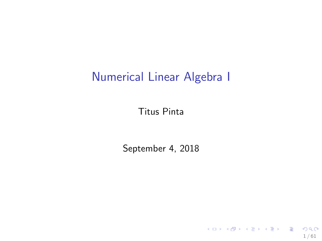# Numerical Linear Algebra I

Titus Pinta

September 4, 2018

1 / 61

K ロ > K @ > K 할 > K 할 > 1 할 : X 9 Q Q\*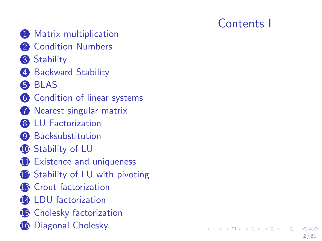- **O** [Matrix multiplication](#page-3-0)
- 2 [Condition Numbers](#page-8-0)
- **3** [Stability](#page-11-0)
- **4** [Backward Stability](#page-14-0)
- 6 [BLAS](#page-16-0)
- **6** [Condition of linear systems](#page-19-0)
- **[Nearest singular matrix](#page-35-0)**
- **8** [LU Factorization](#page-45-0)
- **9** [Backsubstitution](#page-50-0)
- **10** [Stability of LU](#page-56-0)
- **11** [Existence and uniqueness](#page-73-0)
- **12** [Stability of LU with pivoting](#page-77-0)
- <sup>13</sup> [Crout factorization](#page-84-0)
- <sup>4</sup> [LDU factorization](#page-85-0)
- **15** [Cholesky factorization](#page-88-0)
- **16** [Diagonal Cholesky](#page-110-0)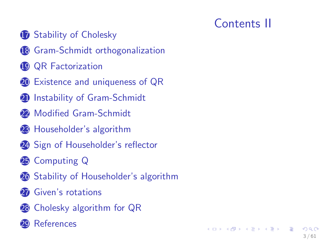# Contents II

 $\mathbf{A} \equiv \mathbf{A} + \mathbf{A} \mathbf{B} + \mathbf{A} \mathbf{B} + \mathbf{A} \mathbf{B} + \mathbf{A} \mathbf{B}$ 

3 / 61

- [Stability of Cholesky](#page-112-0)
- [Gram-Schmidt orthogonalization](#page-116-0)
- [QR Factorization](#page-122-0)
- [Existence and uniqueness of QR](#page-130-0)
- <sup>2</sup> [Instability of Gram-Schmidt](#page-139-0)
- [Modified Gram-Schmidt](#page-148-0)
- [Householder's algorithm](#page-153-0)
- [Sign of Householder's reflector](#page-164-0)
- [Computing Q](#page-169-0)
- [Stability of Householder's algorithm](#page-173-0)
- [Given's rotations](#page-178-0)
- [Cholesky algorithm for QR](#page-181-0)
- **[References](#page-184-0)**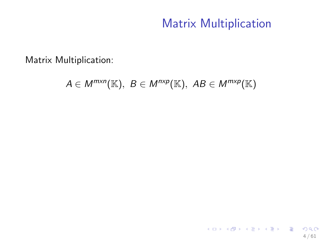# Matrix Multiplication

<span id="page-3-0"></span>Matrix Multiplication:

 $A \in M^{m \times n}(\mathbb{K}), B \in M^{n \times p}(\mathbb{K}), AB \in M^{m \times p}(\mathbb{K})$ 

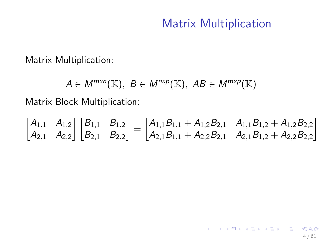## Matrix Multiplication

Matrix Multiplication:

 $A \in M^{m \times n}(\mathbb{K}), B \in M^{n \times p}(\mathbb{K}), AB \in M^{m \times p}(\mathbb{K})$ 

Matrix Block Multiplication:

$$
\begin{bmatrix} A_{1,1} & A_{1,2} \\ A_{2,1} & A_{2,2} \end{bmatrix} \begin{bmatrix} B_{1,1} & B_{1,2} \\ B_{2,1} & B_{2,2} \end{bmatrix} = \begin{bmatrix} A_{1,1}B_{1,1} + A_{1,2}B_{2,1} & A_{1,1}B_{1,2} + A_{1,2}B_{2,2} \\ A_{2,1}B_{1,1} + A_{2,2}B_{2,1} & A_{2,1}B_{1,2} + A_{2,2}B_{2,2} \end{bmatrix}
$$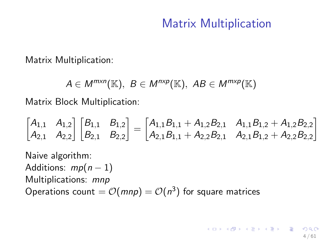# Matrix Multiplication

Matrix Multiplication:

 $A \in M^{m \times n}(\mathbb{K}), B \in M^{n \times p}(\mathbb{K}), AB \in M^{m \times p}(\mathbb{K})$ 

Matrix Block Multiplication:

$$
\begin{bmatrix} A_{1,1} & A_{1,2} \\ A_{2,1} & A_{2,2} \end{bmatrix} \begin{bmatrix} B_{1,1} & B_{1,2} \\ B_{2,1} & B_{2,2} \end{bmatrix} = \begin{bmatrix} A_{1,1}B_{1,1} + A_{1,2}B_{2,1} & A_{1,1}B_{1,2} + A_{1,2}B_{2,2} \\ A_{2,1}B_{1,1} + A_{2,2}B_{2,1} & A_{2,1}B_{1,2} + A_{2,2}B_{2,2} \end{bmatrix}
$$

Naive algorithm: Additions:  $mp(n-1)$ Multiplications: mnp Operations count  $=\mathcal{O}(m n \rho)=\mathcal{O}(n^3)$  for square matrices

> $\mathbf{E} = \mathbf{A} \oplus \mathbf{B} + \mathbf{A} \oplus \mathbf{B} + \mathbf{A} \oplus \mathbf{B} + \mathbf{A} \oplus \mathbf{A}$ 4 / 61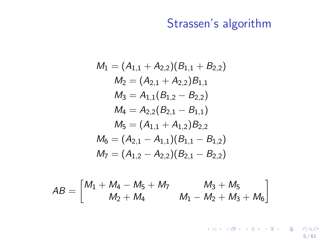# Strassen's algorithm

$$
M_1 = (A_{1,1} + A_{2,2})(B_{1,1} + B_{2,2})
$$
  
\n
$$
M_2 = (A_{2,1} + A_{2,2})B_{1,1}
$$
  
\n
$$
M_3 = A_{1,1}(B_{1,2} - B_{2,2})
$$
  
\n
$$
M_4 = A_{2,2}(B_{2,1} - B_{1,1})
$$
  
\n
$$
M_5 = (A_{1,1} + A_{1,2})B_{2,2}
$$
  
\n
$$
M_6 = (A_{2,1} - A_{1,1})(B_{1,1} - B_{1,2})
$$
  
\n
$$
M_7 = (A_{1,2} - A_{2,2})(B_{2,1} - B_{2,2})
$$

$$
AB = \begin{bmatrix} M_1 + M_4 - M_5 + M_7 & M_3 + M_5 \ M_2 + M_4 & M_1 - M_2 + M_3 + M_6 \end{bmatrix}
$$

K ロ > K 御 > K 聖 > K 聖 > 「聖 → の Q Q → 5 / 61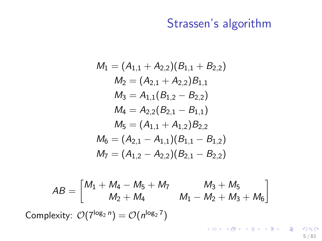# Strassen's algorithm

$$
M_1 = (A_{1,1} + A_{2,2})(B_{1,1} + B_{2,2})
$$
  
\n
$$
M_2 = (A_{2,1} + A_{2,2})B_{1,1}
$$
  
\n
$$
M_3 = A_{1,1}(B_{1,2} - B_{2,2})
$$
  
\n
$$
M_4 = A_{2,2}(B_{2,1} - B_{1,1})
$$
  
\n
$$
M_5 = (A_{1,1} + A_{1,2})B_{2,2}
$$
  
\n
$$
M_6 = (A_{2,1} - A_{1,1})(B_{1,1} - B_{1,2})
$$
  
\n
$$
M_7 = (A_{1,2} - A_{2,2})(B_{2,1} - B_{2,2})
$$

$$
AB = \begin{bmatrix} M_1 + M_4 - M_5 + M_7 & M_3 + M_5 \ M_2 + M_4 & M_1 - M_2 + M_3 + M_6 \end{bmatrix}
$$
  
Complexity:  $O(7^{\log_2 n}) = O(n^{\log_2 7})$ 

 $2990$ 5 / 61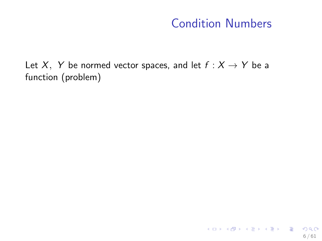# Condition Numbers

<span id="page-8-0"></span>Let X, Y be normed vector spaces, and let  $f : X \rightarrow Y$  be a function (problem)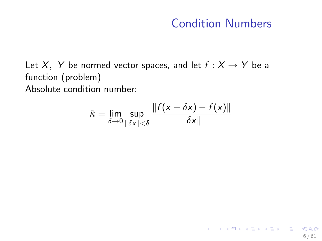# Condition Numbers

6 / 61

K ロ ▶ K @ ▶ K 할 ▶ K 할 ▶ ( 할 ) X 9 Q Q

Let X, Y be normed vector spaces, and let  $f : X \rightarrow Y$  be a function (problem) Absolute condition number:

$$
\hat{\kappa} = \lim_{\delta \to 0} \sup_{\|\delta x\| < \delta} \frac{\|f(x + \delta x) - f(x)\|}{\|\delta x\|}
$$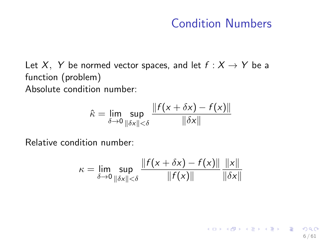### Condition Numbers

6 / 61

K ロ ▶ K @ ▶ K 할 ▶ K 할 ▶ ( 할 ) X 9 Q Q

Let X, Y be normed vector spaces, and let  $f : X \rightarrow Y$  be a function (problem) Absolute condition number:

$$
\hat{\kappa} = \lim_{\delta \to 0} \sup_{\|\delta x\| < \delta} \frac{\|f(x + \delta x) - f(x)\|}{\|\delta x\|}
$$

Relative condition number:

$$
\kappa = \lim_{\delta \to 0} \sup_{\|\delta x\| < \delta} \frac{\|f(x + \delta x) - f(x)\|}{\|f(x)\|} \frac{\|x\|}{\|\delta x\|}
$$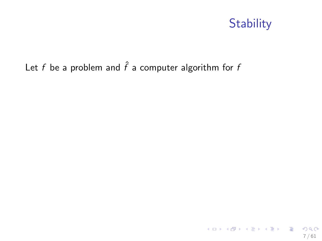# **Stability**

### <span id="page-11-0"></span>Let f be a problem and  $\hat{f}$  a computer algorithm for f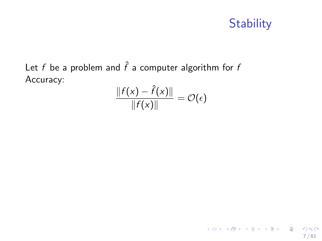# **Stability**

Let f be a problem and  $\hat{f}$  a computer algorithm for f Accuracy:

$$
\frac{\|f(x)-\hat{f}(x)\|}{\|f(x)\|}=\mathcal{O}(\epsilon)
$$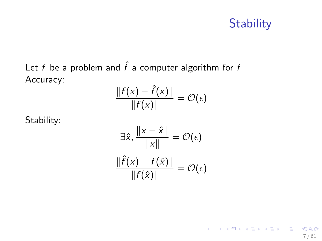# **Stability**

K ロンス 御 > ス 할 > ス 할 > ( ) 할 >

7 / 61

 $2990$ 

Let f be a problem and  $\hat{f}$  a computer algorithm for f Accuracy:

$$
\frac{\|f(x)-\hat{f}(x)\|}{\|f(x)\|}=\mathcal{O}(\epsilon)
$$

Stability:

$$
\exists \hat{x}, \frac{\|x - \hat{x}\|}{\|x\|} = \mathcal{O}(\epsilon)
$$

$$
\frac{\|\hat{f}(x) - f(\hat{x})\|}{\|f(\hat{x})\|} = \mathcal{O}(\epsilon)
$$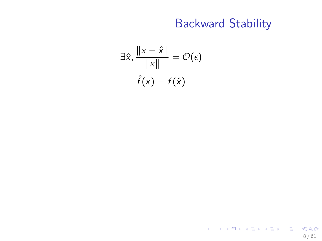# Backward Stability

8 / 61

K ロ > K 御 > K 聖 > K 聖 > 「聖 → の Q Q →

<span id="page-14-0"></span>
$$
\exists \hat{x}, \frac{\|x - \hat{x}\|}{\|x\|} = \mathcal{O}(\epsilon)
$$

$$
\hat{f}(x) = f(\hat{x})
$$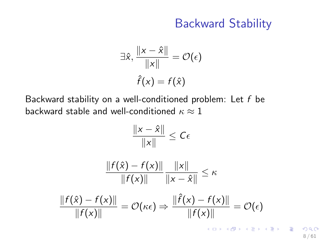## Backward Stability

$$
\exists \hat{x}, \frac{\|x - \hat{x}\|}{\|x\|} = \mathcal{O}(\epsilon)
$$

$$
\hat{f}(x) = f(\hat{x})
$$

Backward stability on a well-conditioned problem: Let  $f$  be backward stable and well-conditioned  $\kappa \approx 1$ 

$$
\frac{\|x - \hat{x}\|}{\|x\|} \le C\epsilon
$$
\n
$$
\frac{\|f(\hat{x}) - f(x)\|}{\|f(x)\|} \frac{\|x\|}{\|x - \hat{x}\|} \le \kappa
$$
\n
$$
\frac{\|f(\hat{x}) - f(x)\|}{\|f(x)\|} = \mathcal{O}(\kappa\epsilon) \Rightarrow \frac{\|\hat{f}(x) - f(x)\|}{\|f(x)\|} = \mathcal{O}(\epsilon)
$$

8 / 61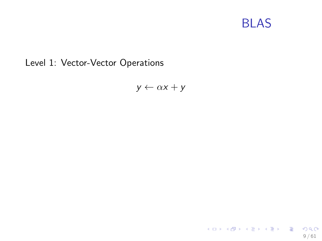# BLAS

<span id="page-16-0"></span>Level 1: Vector-Vector Operations

 $y \leftarrow \alpha x + y$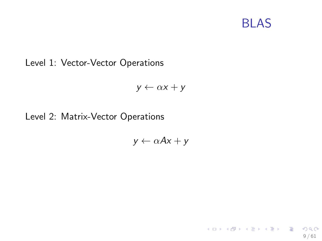# BLAS

KORK@RKERKER E 1990

9 / 61

#### Level 1: Vector-Vector Operations

$$
y \leftarrow \alpha x + y
$$

#### Level 2: Matrix-Vector Operations

$$
y \leftarrow \alpha Ax + y
$$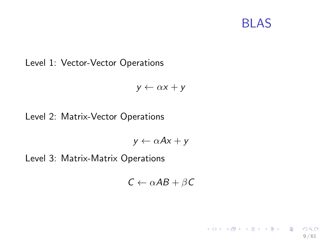# BLAS

イロト イ団 トイモト イモト 一毛

9 / 61

 $\Omega$ 

#### Level 1: Vector-Vector Operations

$$
y \leftarrow \alpha x + y
$$

### Level 2: Matrix-Vector Operations

$$
y \leftarrow \alpha Ax + y
$$

Level 3: Matrix-Matrix Operations

$$
C \leftarrow \alpha AB + \beta C
$$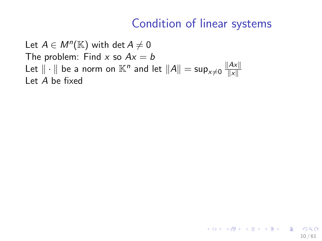10 / 61

K ロ X K @ X K 할 X K 할 X - 할 X YO Q @

<span id="page-19-0"></span>Let  $A \in M^n(\mathbb{K})$  with  $\det A \neq 0$ The problem: Find x so  $Ax = b$ Let  $\|\cdot\|$  be a norm on  $\mathbb{K}^n$  and let  $\|A\|=\sup_{x\neq 0} \frac{\|Ax\|}{\|x\|}$  $\|x\|$ Let A be fixed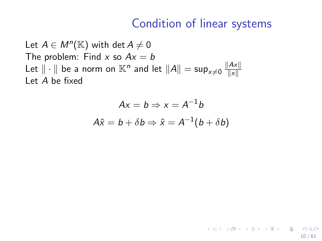10 / 61

K ロ X K @ X K 할 X K 할 X - 할 X YO Q @

Let  $A \in M^n(\mathbb{K})$  with  $\det A \neq 0$ The problem: Find x so  $Ax = b$ Let  $\|\cdot\|$  be a norm on  $\mathbb{K}^n$  and let  $\|A\|=\sup_{x\neq 0} \frac{\|Ax\|}{\|x\|}$  $\|x\|$ Let A be fixed

$$
Ax = b \Rightarrow x = A^{-1}b
$$

$$
A\hat{x} = b + \delta b \Rightarrow \hat{x} = A^{-1}(b + \delta b)
$$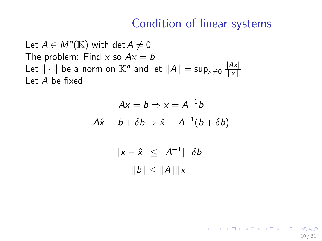10 / 61

K ロ ▶ K @ ▶ K 할 > K 할 > → 할 → 9 Q Q

Let  $A \in M^n(\mathbb{K})$  with  $\det A \neq 0$ The problem: Find x so  $Ax = b$ Let  $\|\cdot\|$  be a norm on  $\mathbb{K}^n$  and let  $\|A\|=\sup_{x\neq 0} \frac{\|Ax\|}{\|x\|}$  $\|x\|$ Let A be fixed

$$
Ax = b \Rightarrow x = A^{-1}b
$$
  

$$
A\hat{x} = b + \delta b \Rightarrow \hat{x} = A^{-1}(b + \delta b)
$$

 $||x - \hat{x}|| \leq ||A^{-1}|| ||\delta b||$  $||b|| \le ||A|| ||x||$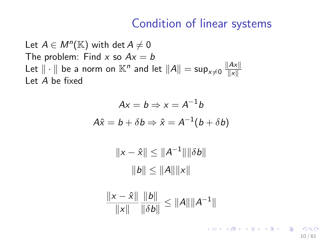Let  $A \in M^n(\mathbb{K})$  with  $\det A \neq 0$ The problem: Find x so  $Ax = b$ Let  $\|\cdot\|$  be a norm on  $\mathbb{K}^n$  and let  $\|A\|=\sup_{x\neq 0} \frac{\|Ax\|}{\|x\|}$  $\|x\|$ Let A be fixed

$$
Ax = b \Rightarrow x = A^{-1}b
$$

$$
A\hat{x} = b + \delta b \Rightarrow \hat{x} = A^{-1}(b + \delta b)
$$

 $||x - \hat{x}|| \leq ||A^{-1}|| ||\delta b||$  $||b|| \le ||A|| ||x||$ 

$$
\frac{\|x-\hat{x}\|}{\|x\|}\frac{\|b\|}{\|\delta b\|}\leq \|A\|\|A^{-1}\|
$$

K ロ ▶ K @ ▶ K 할 > K 할 > → 할 → 9 Q Q 10 / 61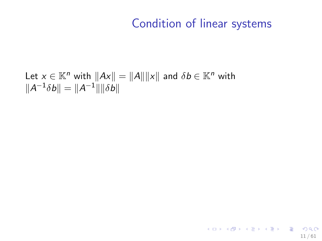Let  $x \in \mathbb{K}^n$  with  $||Ax|| = ||A|| ||x||$  and  $\delta b \in \mathbb{K}^n$  with  $||A^{-1}\delta b|| = ||A^{-1}|| ||\delta b||$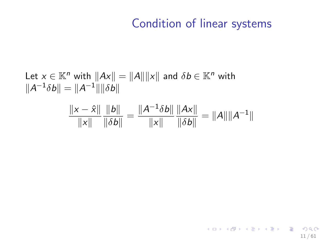11 / 61

K ロ > K @ > K 할 > K 할 > 1 할 : X 9 Q Q\*

Let 
$$
x \in \mathbb{K}^n
$$
 with  $||Ax|| = ||A|| ||x||$  and  $\delta b \in \mathbb{K}^n$  with  
\n $||A^{-1}\delta b|| = ||A^{-1}|| ||\delta b||$   
\n
$$
\frac{||x - \hat{x}||}{||x||} \frac{||b||}{||\delta b||} = \frac{||A^{-1}\delta b||}{||x||} \frac{||Ax||}{||\delta b||} = ||A|| ||A^{-1}||
$$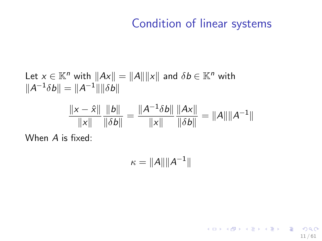11 / 61

K ロ > K @ > K 할 > K 할 > 1 할 : X 9 Q Q\*

Let 
$$
x \in \mathbb{K}^n
$$
 with  $||Ax|| = ||A|| ||x||$  and  $\delta b \in \mathbb{K}^n$  with  
\n
$$
||A^{-1}\delta b|| = ||A^{-1}|| ||\delta b||
$$
\n
$$
\frac{||x - \hat{x}||}{||x||} \frac{||b||}{||\delta b||} = \frac{||A^{-1}\delta b||}{||x||} \frac{||Ax||}{||\delta b||} = ||A|| ||A^{-1}||
$$

When A is fixed:

 $\kappa = \|A\| \|A^{-1}\|$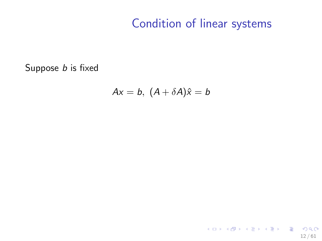Suppose *b* is fixed

$$
Ax = b, (A + \delta A)\hat{x} = b
$$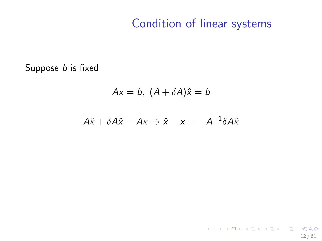Suppose *b* is fixed

$$
Ax = b, (A + \delta A)\hat{x} = b
$$

$$
A\hat{x} + \delta A\hat{x} = Ax \Rightarrow \hat{x} - x = -A^{-1}\delta A\hat{x}
$$

K ロ ▶ K @ ▶ K 할 ▶ K 할 ▶ → 할 → 9 Q @ 12 / 61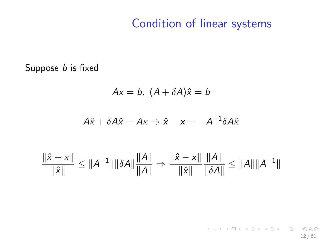Suppose *b* is fixed

$$
Ax = b, (A + \delta A)\hat{x} = b
$$

$$
A\hat{x} + \delta A\hat{x} = Ax \Rightarrow \hat{x} - x = -A^{-1}\delta A\hat{x}
$$

$$
\frac{\|\hat{x} - x\|}{\|\hat{x}\|} \le \|A^{-1}\| \|\delta A\| \frac{\|A\|}{\|A\|} \Rightarrow \frac{\|\hat{x} - x\|}{\|\hat{x}\|} \frac{\|A\|}{\|\delta A\|} \le \|A\| \|A^{-1}\|
$$

K ロ ▶ K @ ▶ K 할 ▶ K 할 ▶ → 할 → 9 Q @ 12 / 61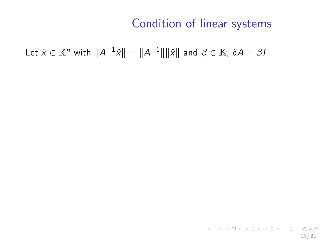Let  $\hat{x} \in \mathbb{K}^n$  with  $\|A^{-1}\hat{x}\| = \|A^{-1}\|\|\hat{x}\|$  and  $\beta \in \mathbb{K}$ ,  $\delta A = \beta I$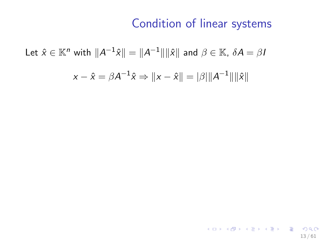Let  $\hat{x} \in \mathbb{K}^n$  with  $\|A^{-1}\hat{x}\| = \|A^{-1}\|\|\hat{x}\|$  and  $\beta \in \mathbb{K}$ ,  $\delta A = \beta I$ −1

$$
x - \hat{x} = \beta A^{-1} \hat{x} \Rightarrow ||x - \hat{x}|| = |\beta| ||A^{-1}|| ||\hat{x}||
$$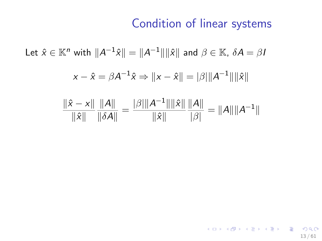13 / 61

K ロ X (日) X (日) X (日) X (日) X (日) X (日) X (日) X (日) X (日) X (日) X (日)

Let  $\hat{x} \in \mathbb{K}^n$  with  $\|A^{-1}\hat{x}\| = \|A^{-1}\|\|\hat{x}\|$  and  $\beta \in \mathbb{K}$ ,  $\delta A = \beta I$  $\|x-\hat{x}=\beta A^{-1}\hat{x} \Rightarrow \|x-\hat{x}\| = |\beta| \|A^{-1}\|\|\hat{x}\|$  $\|\hat{x} - x\|$  $\|\hat{x}\|$  $\|A\|$  $\frac{\|A\|}{\|\delta A\|} = \frac{|\beta| \|A^{-1}\| \|\hat{\mathsf{x}}\|}{\|\hat{\mathsf{x}}\|}$  $\|\hat{x}\|$  $\|A\|$  $\frac{|\mathcal{A}||}{|\beta|} = ||A|| ||A^{-1}||$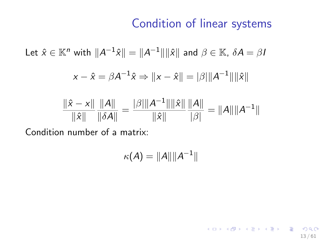13 / 61

K ロ ▶ K @ ▶ K 할 ▶ K 할 ▶ → 할 → 9 Q @

Let 
$$
\hat{x} \in \mathbb{K}^n
$$
 with  $||A^{-1}\hat{x}|| = ||A^{-1}|| ||\hat{x}||$  and  $\beta \in \mathbb{K}$ ,  $\delta A = \beta I$ 

$$
x - \hat{x} = \beta A^{-1} \hat{x} \Rightarrow ||x - \hat{x}|| = |\beta| ||A^{-1}|| ||\hat{x}||
$$

$$
\frac{\|\hat{x} - x\|}{\|\hat{x}\|} \frac{\|A\|}{\|\delta A\|} = \frac{|\beta| \|A^{-1}\| \|\hat{x}\|}{\|\hat{x}\|} \frac{\|A\|}{|\beta|} = \|A\| \|A^{-1}\|
$$

Condition number of a matrix:

$$
\kappa(A) = ||A|| ||A^{-1}||
$$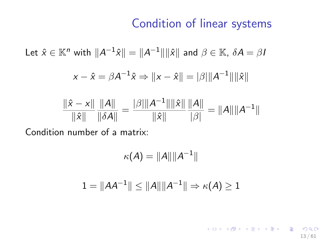Let 
$$
\hat{x} \in \mathbb{K}^n
$$
 with  $||A^{-1}\hat{x}|| = ||A^{-1}|| ||\hat{x}||$  and  $\beta \in \mathbb{K}$ ,  $\delta A = \beta I$ 

$$
x - \hat{x} = \beta A^{-1} \hat{x} \Rightarrow ||x - \hat{x}|| = |\beta| ||A^{-1}|| ||\hat{x}||
$$

$$
\frac{\|\hat{x} - x\|}{\|\hat{x}\|} \frac{\|A\|}{\|\delta A\|} = \frac{|\beta| \|A^{-1}\| \|\hat{x}\|}{\|\hat{x}\|} \frac{\|A\|}{|\beta|} = \|A\| \|A^{-1}\|
$$

Condition number of a matrix:

$$
\kappa(A)=\|A\|\|A^{-1}\|
$$

$$
1=\|A A^{-1}\|\leq \|A\|\|A^{-1}\|\Rightarrow \kappa(A)\geq 1
$$

K ロ ▶ K @ ▶ K 할 ▶ K 할 ▶ → 할 → 9 Q @ 13 / 61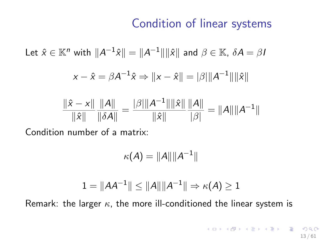Let 
$$
\hat{x} \in \mathbb{K}^n
$$
 with  $||A^{-1}\hat{x}|| = ||A^{-1}|| ||\hat{x}||$  and  $\beta \in \mathbb{K}$ ,  $\delta A = \beta I$ 

$$
x - \hat{x} = \beta A^{-1} \hat{x} \Rightarrow ||x - \hat{x}|| = |\beta| ||A^{-1}|| ||\hat{x}||
$$

$$
\frac{\|\hat{x} - x\|}{\|\hat{x}\|} \frac{\|A\|}{\|\delta A\|} = \frac{|\beta| \|A^{-1}\| \|\hat{x}\|}{\|\hat{x}\|} \frac{\|A\|}{|\beta|} = \|A\| \|A^{-1}\|
$$

Condition number of a matrix:

$$
\kappa(A) = \|A\| \|A^{-1}\|
$$

$$
1=\|A A^{-1}\|\leq \|A\|\|A^{-1}\|\Rightarrow \kappa(A)\geq 1
$$

Remark: the larger  $\kappa$ , the more ill-conditioned the linear system is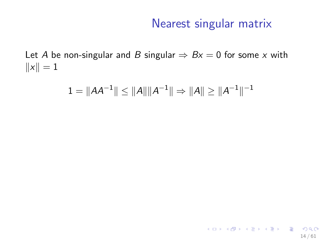### Nearest singular matrix

<span id="page-35-0"></span>Let A be non-singular and B singular  $\Rightarrow Bx = 0$  for some x with  $||x|| = 1$ 

$$
1 = \|AA^{-1}\| \le \|A\| \|A^{-1}\| \Rightarrow \|A\| \ge \|A^{-1}\|^{-1}
$$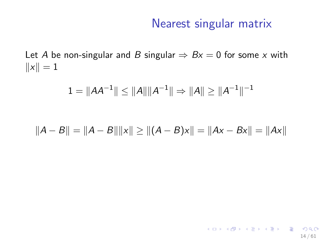14 / 61

K ロ > K @ > K 할 > K 할 > 1 할 : ⊙ Q Q^

Let A be non-singular and B singular  $\Rightarrow Bx = 0$  for some x with  $||x|| = 1$ 

$$
1=\|AA^{-1}\|\leq \|A\|\|A^{-1}\|\Rightarrow \|A\|\geq \|A^{-1}\|^{-1}
$$

$$
||A - B|| = ||A - B|| ||x|| \ge ||(A - B)x|| = ||Ax - Bx|| = ||Ax||
$$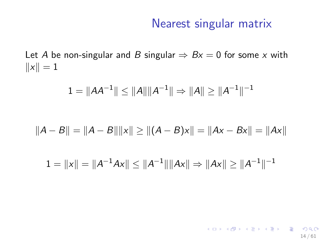14 / 61

K ロ > K @ > K 할 > K 할 > 1 할 : ⊙ Q Q^

Let A be non-singular and B singular  $\Rightarrow Bx = 0$  for some x with  $||x|| = 1$ 

$$
1 = \|AA^{-1}\| \le \|A\| \|A^{-1}\| \Rightarrow \|A\| \ge \|A^{-1}\|^{-1}
$$

$$
||A - B|| = ||A - B|| ||x|| \ge ||(A - B)x|| = ||Ax - Bx|| = ||Ax||
$$

$$
1 = ||x|| = ||A^{-1}Ax|| \le ||A^{-1}|| ||Ax|| \Rightarrow ||Ax|| \ge ||A^{-1}||^{-1}
$$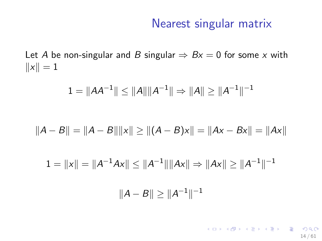Let A be non-singular and B singular  $\Rightarrow Bx = 0$  for some x with  $||x|| = 1$ 

$$
1=\|AA^{-1}\|\leq \|A\|\|A^{-1}\|\Rightarrow \|A\|\geq \|A^{-1}\|^{-1}
$$

$$
||A - B|| = ||A - B|| ||x|| \ge ||(A - B)x|| = ||Ax - Bx|| = ||Ax||
$$

$$
1 = ||x|| = ||A^{-1}Ax|| \le ||A^{-1}|| ||Ax|| \Rightarrow ||Ax|| \ge ||A^{-1}||^{-1}
$$

$$
||A - B|| \ge ||A^{-1}||^{-1}
$$

K ロ ▶ K @ ▶ K 할 ▶ K 할 ▶ → 할 → 9 Q @ 14 / 61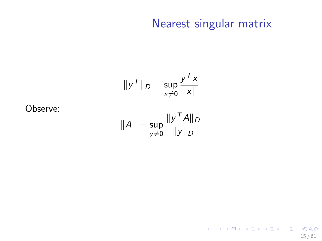$$
\|y^T\|_D = \sup_{x \neq 0} \frac{y^T x}{\|x\|}
$$

Observe:

$$
\|A\|=\sup_{\mathsf{y}\neq 0}\frac{\|\mathsf{y}^\mathcal{T} A\|_D}{\|\mathsf{y}\|_D}
$$

K ロ ▶ K @ ▶ K 할 ▶ K 할 ▶ → 할 → 9 Q @ 15 / 61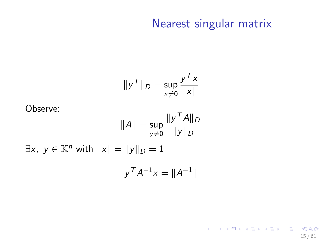15 / 61

K ロ ▶ K @ ▶ K 할 ▶ K 할 ▶ → 할 → 9 Q @

$$
\|y^T\|_D = \sup_{x \neq 0} \frac{y^T x}{\|x\|}
$$

Observe:

$$
||A|| = \sup_{y \neq 0} \frac{||y^T A||_D}{||y||_D}
$$
  

$$
\exists x, y \in \mathbb{K}^n \text{ with } ||x|| = ||y||_D = 1
$$

$$
y^T A^{-1} x = ||A^{-1}||
$$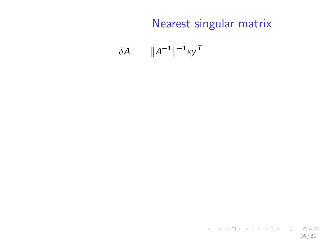$$
\delta A = -\|A^{-1}\|^{-1}xy^T
$$

K ロ > K @ > K 할 > K 할 > 1 할 : ⊙ Q Q^ 16 / 61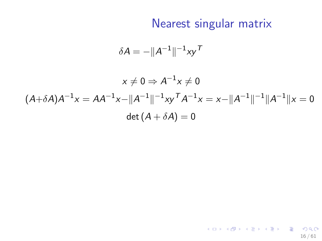16 / 61

K ロ > K @ > K 할 > K 할 > 1 할 : ⊙ Q Q^

$$
\delta A = -\|A^{-1}\|^{-1}xy^T
$$

$$
x \neq 0 \Rightarrow A^{-1}x \neq 0
$$
  

$$
(A+\delta A)A^{-1}x = AA^{-1}x - ||A^{-1}||^{-1}xy^T A^{-1}x = x - ||A^{-1}||^{-1}||A^{-1}||x = 0
$$
  

$$
\det (A + \delta A) = 0
$$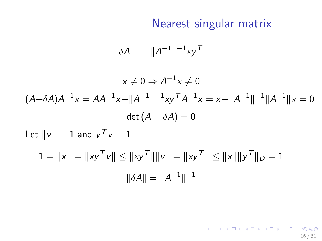16 / 61

K ロ > K @ > K 할 > K 할 > 1 할 : ⊙ Q Q^

$$
\delta A = -\|A^{-1}\|^{-1}xy^T
$$

$$
x \neq 0 \Rightarrow A^{-1}x \neq 0
$$
  

$$
(A+\delta A)A^{-1}x = AA^{-1}x - ||A^{-1}||^{-1}xy^T A^{-1}x = x - ||A^{-1}||^{-1}||A^{-1}||x = 0
$$
  

$$
\det (A + \delta A) = 0
$$
  
Let  $||v|| = 1$  and  $y^T v = 1$   

$$
1 = ||x|| = ||xy^T v|| \le ||xy^T|| ||v|| = ||xy^T|| \le ||x|| ||y^T||_D = 1
$$
  

$$
||\delta A|| = ||A^{-1}||^{-1}
$$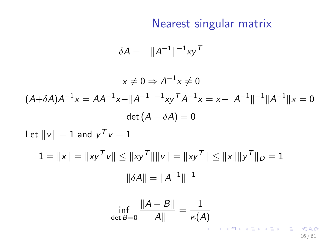$$
\delta A = -\|A^{-1}\|^{-1}xy^T
$$

$$
x \neq 0 \Rightarrow A^{-1}x \neq 0
$$
  
\n
$$
(A+\delta A)A^{-1}x = AA^{-1}x - ||A^{-1}||^{-1}xy^T A^{-1}x = x - ||A^{-1}||^{-1}||A^{-1}||x = 0
$$
  
\n
$$
\det (A + \delta A) = 0
$$
  
\nLet  $||v|| = 1$  and  $y^T v = 1$   
\n
$$
1 = ||x|| = ||xy^T v|| \le ||xy^T|| ||v|| = ||xy^T|| \le ||x|| ||y^T||_D = 1
$$
  
\n
$$
||\delta A|| = ||A^{-1}||^{-1}
$$
  
\n
$$
\inf_{\det B=0} \frac{||A - B||}{||A||} = \frac{1}{\kappa(A)}
$$

16 / 61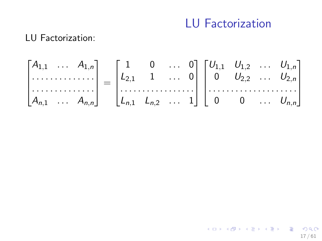#### LU Factorization

#### LU Factorization:

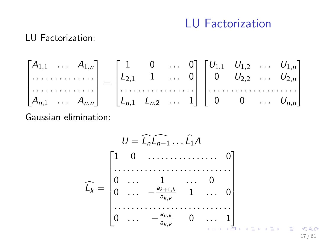## LU Factorization

#### LU Factorization:

$$
\begin{bmatrix} A_{1,1} & \dots & A_{1,n} \\ \dots & \dots & \dots \\ A_{n,1} & \dots & A_{n,n} \end{bmatrix} = \begin{bmatrix} 1 & 0 & \dots & 0 \\ L_{2,1} & 1 & \dots & 0 \\ \dots & \dots & \dots & \dots \\ L_{n,1} & L_{n,2} & \dots & 1 \end{bmatrix} \begin{bmatrix} U_{1,1} & U_{1,2} & \dots & U_{1,n} \\ 0 & U_{2,2} & \dots & U_{2,n} \\ \dots & \dots & \dots & \dots \\ 0 & 0 & \dots & U_{n,n} \end{bmatrix}
$$
  
Gaussian elimination:

$$
\widehat{L_k} = \begin{bmatrix}\n1 & 0 & \dots & 0 \\
0 & \dots & 1 & \dots & 0 \\
0 & \dots & -\frac{a_{k+1,k}}{a_{k,k}} & 1 & \dots & 0 \\
\vdots & \vdots & \vdots & \ddots & \vdots \\
0 & \dots & -\frac{a_{n,k}}{a_{k,k}} & 0 & \dots & 1 \\
\vdots & \vdots & \vdots & \vdots & \vdots \\
0 & \dots & -\frac{a_{n,k}}{a_{k,k}} & 0 & \dots & 1 \\
\vdots & \vdots & \vdots & \vdots & \vdots \\
0 & \dots & 0 & \dots & 0 \\
\end{bmatrix}
$$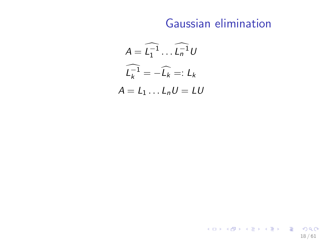## Gaussian elimination

$$
A = \widehat{L_1^{-1}} \dots \widehat{L_n^{-1}} U
$$

$$
\widehat{L_k^{-1}} = -\widehat{L_k} =: L_k
$$

$$
A = L_1 \dots L_n U = LU
$$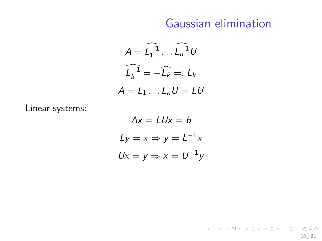#### Gaussian elimination

18 / 61

K ロ > K @ > K 할 > K 할 > 1 할 : ⊙ Q Q^

$$
A = \widehat{L_1^{-1}} \dots \widehat{L_n^{-1}} U
$$

$$
\widehat{L_k^{-1}} = -\widehat{L_k} =: L_k
$$

$$
A = L_1 \dots L_n U = LU
$$

Linear systems:

$$
Ax = LUx = b
$$
  
\n
$$
Ly = x \Rightarrow y = L^{-1}x
$$
  
\n
$$
Ux = y \Rightarrow x = U^{-1}y
$$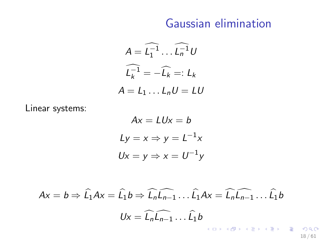#### Gaussian elimination

$$
A = \widehat{L_1^{-1}} \dots \widehat{L_n^{-1}} U
$$

$$
\widehat{L_k^{-1}} = -\widehat{L_k} =: L_k
$$

$$
A = L_1 \dots L_n U = LU
$$

Linear systems:

$$
Ax = LUx = b
$$
  
\n
$$
Ly = x \Rightarrow y = L^{-1}x
$$
  
\n
$$
Ux = y \Rightarrow x = U^{-1}y
$$

$$
Ax = b \Rightarrow \widehat{L_1}Ax = \widehat{L_1}b \Rightarrow \widehat{L_n}\widehat{L_{n-1}}\dots\widehat{L_1}Ax = \widehat{L_n}\widehat{L_{n-1}}\dots\widehat{L_1}b
$$
  

$$
Ux = \widehat{L_n}\widehat{L_{n-1}}\dots\widehat{L_1}b
$$

18 / 61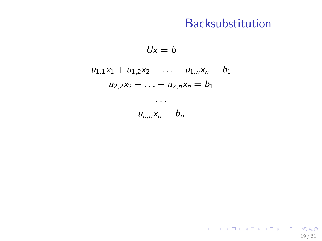19 / 61

K ロ > K @ > K 할 > K 할 > 1 할 : ⊙ Q Q^

 $Ux = b$ 

$$
u_{1,1}x_1 + u_{1,2}x_2 + \ldots + u_{1,n}x_n = b_1
$$
  

$$
u_{2,2}x_2 + \ldots + u_{2,n}x_n = b_1
$$

. . .  $u_{n,n}x_n = b_n$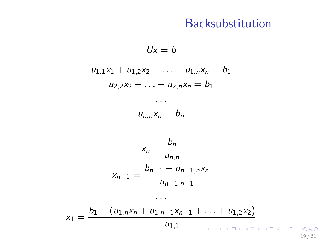$Ux = b$  $u_{1,1}x_1 + u_{1,2}x_2 + \ldots + u_{1,n}x_n = b_1$  $u_{2,2}x_2 + \ldots + u_{2,n}x_n = b_1$ . . .  $u_{n,n}x_n = b_n$  $x_n = \frac{b_n}{n}$  $u_{n,n}$  $x_{n-1} = \frac{b_{n-1} - u_{n-1,n}x_n}{u_n}$  $u_{n-1,n-1}$ 

$$
x_1 = \frac{b_1 - (u_{1,n}x_n + u_{1,n-1}x_{n-1} + \ldots + u_{1,2}x_2)}{u_{1,1}}
$$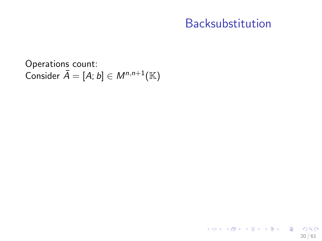Operations count: Consider  $\bar{A} = [A; b] \in M^{n, n+1}(\mathbb{K})$ 

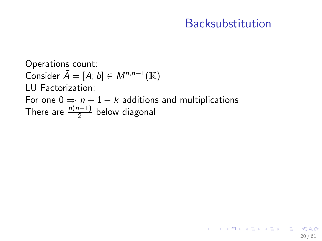20 / 61

K ロ ▶ K @ ▶ K 할 > K 할 > → 할 → 9 Q Q

Operations count: Consider  $\bar{A} = [A; b] \in M^{n, n+1}(\mathbb{K})$ LU Factorization: For one  $0 \Rightarrow n+1-k$  additions and multiplications There are  $\frac{n(n-1)}{2}$  below diagonal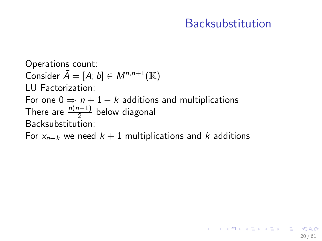Operations count: Consider  $\overline{A} = [A; b] \in M^{n, n+1}(\mathbb{K})$ LU Factorization: For one  $0 \Rightarrow n+1-k$  additions and multiplications There are  $\frac{n(n-1)}{2}$  below diagonal Backsubstitution:

For  $x_{n-k}$  we need  $k + 1$  multiplications and k additions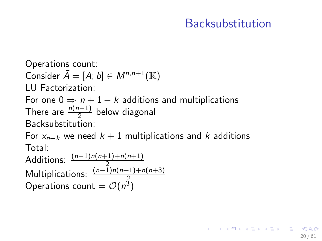20 / 61

イロト 不優 ト 不思 ト 不思 トー 温

Operations count:

Consider  $\overline{A} = [A; b] \in M^{n, n+1}(\mathbb{K})$ 

LU Factorization:

For one  $0 \Rightarrow n+1-k$  additions and multiplications There are  $\frac{n(n-1)}{2}$  below diagonal Backsubstitution:

For  $x_{n-k}$  we need  $k + 1$  multiplications and k additions Total:

Additions:  $\frac{(n-1)n(n+1)+n(n+1)}{2}$ Additions:  $\frac{(n-1)n(n+1)+n(n+3)}{2}$ <br>Operations count =  $\mathcal{O}(n^3)$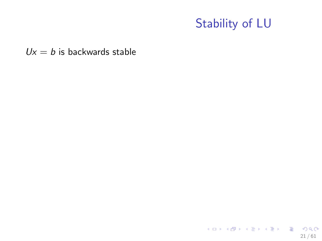$Ux = b$  is backwards stable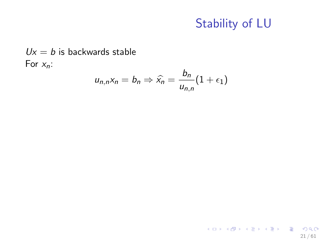$Ux = b$  is backwards stable For  $x_n$ :

$$
u_{n,n}x_n = b_n \Rightarrow \widehat{x}_n = \frac{b_n}{u_{n,n}}(1 + \epsilon_1)
$$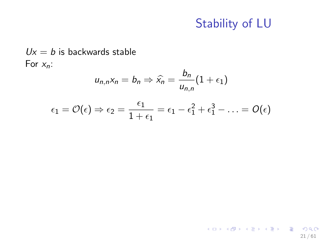$Ux = b$  is backwards stable For  $x_n$ :

$$
u_{n,n}x_n = b_n \Rightarrow \widehat{x_n} = \frac{b_n}{u_{n,n}}(1 + \epsilon_1)
$$

$$
\epsilon_1 = \mathcal{O}(\epsilon) \Rightarrow \epsilon_2 = \frac{\epsilon_1}{1+\epsilon_1} = \epsilon_1 - \epsilon_1^2 + \epsilon_1^3 - \ldots = O(\epsilon)
$$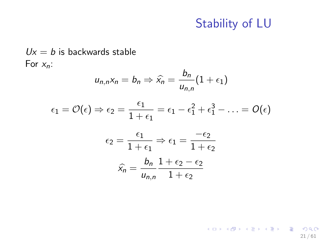$Ux = b$  is backwards stable For  $x_n$ :

$$
u_{n,n}x_n = b_n \Rightarrow \hat{x}_n = \frac{b_n}{u_{n,n}}(1 + \epsilon_1)
$$

$$
\epsilon_1 = \mathcal{O}(\epsilon) \Rightarrow \epsilon_2 = \frac{\epsilon_1}{1 + \epsilon_1} = \epsilon_1 - \epsilon_1^2 + \epsilon_1^3 - \ldots = \mathcal{O}(\epsilon)
$$

$$
\epsilon_2 = \frac{\epsilon_1}{1 + \epsilon_1} \Rightarrow \epsilon_1 = \frac{-\epsilon_2}{1 + \epsilon_2}
$$

$$
\widehat{x_n} = \frac{b_n}{u_{n,n}} \frac{1 + \epsilon_2 - \epsilon_2}{1 + \epsilon_2}
$$

K ロ X K @ X K 할 X K 할 X - 할 X YO Q @ 21 / 61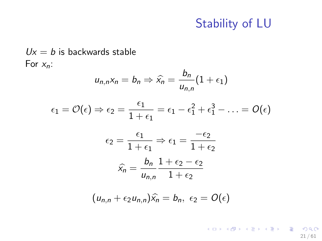For  $x_n$ :  $u_{n,n}x_n = b_n \Rightarrow \widehat{x}_n = \frac{b_n}{u_n}$  $\frac{m}{u_{n,n}}(1+\epsilon_1)$  $\epsilon_1 = \mathcal{O}(\epsilon) \Rightarrow \epsilon_2 = \frac{\epsilon_1}{1+\epsilon_2}$  $\frac{\epsilon_1}{1+\epsilon_1}=\epsilon_1-\epsilon_1^2+\epsilon_1^3-\ldots=O(\epsilon)$  $\epsilon_2 = \frac{\epsilon_1}{1 - \epsilon_2}$  $\frac{\epsilon_1}{1+\epsilon_1} \Rightarrow \epsilon_1 = \frac{-\epsilon_2}{1+\epsilon}$  $1+\epsilon_2$  $\widehat{x_n} = \frac{b_n}{u_{n_n}}$  $u_{n,n}$  $1+\epsilon_2-\epsilon_2$  $1+\epsilon_2$  $(u_{n,n} + \epsilon_2 u_{n,n})\hat{x}_n = b_n, \epsilon_2 = O(\epsilon)$ 

 $Ux = b$  is backwards stable

K ロ ▶ K @ ▶ K 할 > K 할 > → 할 → 9 Q Q 21 / 61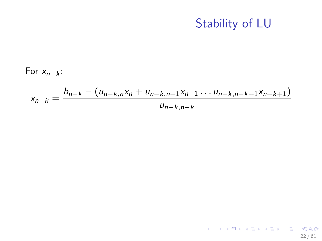22 / 61

K ロ > K @ > K 할 > K 할 > 1 할 : ⊙ Q Q^

For  $x_{n-k}$ :

$$
x_{n-k} = \frac{b_{n-k} - (u_{n-k,n}x_n + u_{n-k,n-1}x_{n-1} \dots u_{n-k,n-k+1}x_{n-k+1})}{u_{n-k,n-k}}
$$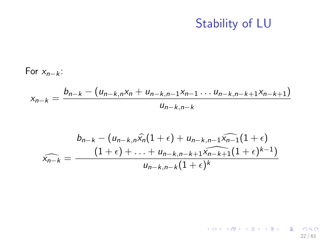22 / 61

K ロ > K @ > K 할 > K 할 > 1 할 : ⊙ Q Q^

For  $x_{n-k}$ :

$$
x_{n-k} = \frac{b_{n-k} - (u_{n-k,n}x_n + u_{n-k,n-1}x_{n-1} \dots u_{n-k,n-k+1}x_{n-k+1})}{u_{n-k,n-k}}
$$

$$
b_{n-k} - (u_{n-k,n}\hat{x}_n(1+\epsilon) + u_{n-k,n-1}\hat{x}_{n-1}(1+\epsilon) + \hat{x}_{n-k} = \frac{(1+\epsilon) + \ldots + u_{n-k,n-k+1}\hat{x}_{n-k+1}(1+\epsilon)^{k-1}}{u_{n-k,n-k}(1+\epsilon)^k}
$$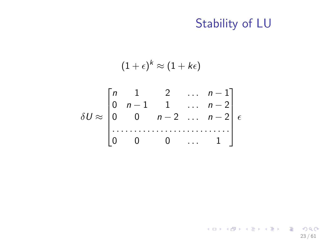$$
(1+\epsilon)^{k} \approx (1+k\epsilon)
$$
  

$$
\delta U \approx \begin{bmatrix} n & 1 & 2 & \dots & n-1 \\ 0 & n-1 & 1 & \dots & n-2 \\ 0 & 0 & n-2 & \dots & n-2 \\ \dots & \dots & \dots & \dots & \dots \\ 0 & 0 & 0 & \dots & 1 \end{bmatrix} \epsilon
$$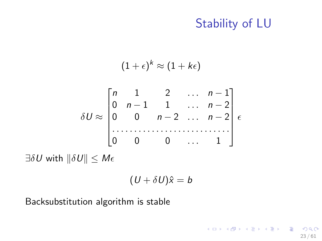23 / 61

K ロ > K @ > K 할 > K 할 > 1 할 : ⊙ Q Q^

$$
(1+\epsilon)^k \approx (1+k\epsilon)
$$

$$
\delta U \approx \begin{bmatrix} n & 1 & 2 & \cdots & n-1 \\ 0 & n-1 & 1 & \cdots & n-2 \\ 0 & 0 & n-2 & \cdots & n-2 \\ \cdots & \cdots & \cdots & \cdots & \cdots & \cdots \end{bmatrix} \epsilon
$$

$$
\exists \delta U \text{ with } ||\delta U|| \leq M\epsilon
$$

$$
(U+\delta U)\hat{x}=b
$$

Backsubstitution algorithm is stable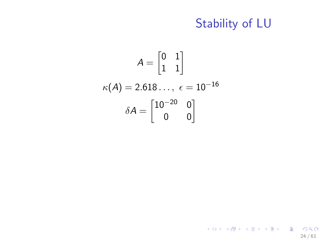$$
A = \begin{bmatrix} 0 & 1 \\ 1 & 1 \end{bmatrix}
$$

$$
\kappa(A) = 2.618..., \epsilon = 10^{-16}
$$

$$
\delta A = \begin{bmatrix} 10^{-20} & 0 \\ 0 & 0 \end{bmatrix}
$$

K ロ > K 御 > K 聖 > K 聖 > 「聖 → の Q Q → 24 / 61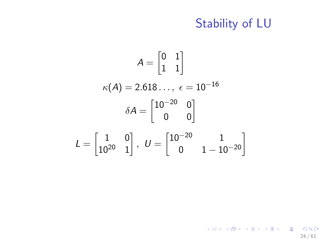$$
A = \begin{bmatrix} 0 & 1 \\ 1 & 1 \end{bmatrix}
$$

$$
\kappa(A) = 2.618..., \epsilon = 10^{-16}
$$

$$
\delta A = \begin{bmatrix} 10^{-20} & 0 \\ 0 & 0 \end{bmatrix}
$$

$$
L = \begin{bmatrix} 1 & 0 \\ 10^{20} & 1 \end{bmatrix}, \ U = \begin{bmatrix} 10^{-20} & 1 \\ 0 & 1 - 10^{-20} \end{bmatrix}
$$

K ロ X (個) X (目) X (目) X (目) 2 (の) Q (V) 24 / 61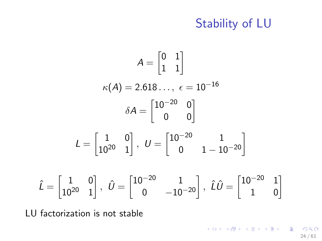$$
A = \begin{bmatrix} 0 & 1 \\ 1 & 1 \end{bmatrix}
$$

$$
\kappa(A) = 2.618..., \epsilon = 10^{-16}
$$

$$
\delta A = \begin{bmatrix} 10^{-20} & 0 \\ 0 & 0 \end{bmatrix}
$$

$$
L = \begin{bmatrix} 1 & 0 \\ 10^{20} & 1 \end{bmatrix}, \ U = \begin{bmatrix} 10^{-20} & 1 \\ 0 & 1 - 10^{-20} \end{bmatrix}
$$

$$
\hat{L} = \begin{bmatrix} 1 & 0 \\ 10^{20} & 1 \end{bmatrix}, \ \hat{U} = \begin{bmatrix} 10^{-20} & 1 \\ 0 & -10^{-20} \end{bmatrix}, \ \hat{L}\hat{U} = \begin{bmatrix} 10^{-20} & 1 \\ 1 & 0 \end{bmatrix}
$$

LU factorization is not stable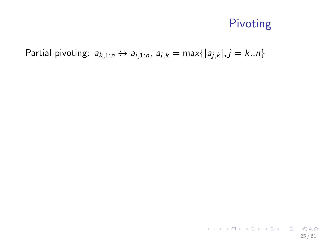Partial pivoting:  $a_{k,1:n} \leftrightarrow a_{i,1:n}$ ,  $a_{i,k} = \max\{|a_{j,k}|, j = k..n\}$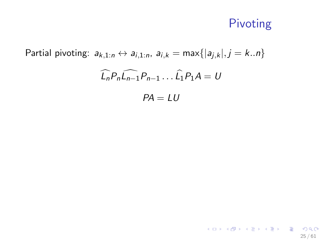25 / 61

K ロ X (日) X (日) X (日) X (日) X (日) X (日) X (日) X (日) X (日) X (日) X (日)

Partial pivoting:  $a_{k,1:n} \leftrightarrow a_{i,1:n}$ ,  $a_{i,k} = \max\{|a_{i,k}|, j = k..n\}$  $\widehat{L_n}P_n\widehat{L_{n-1}}P_{n-1}\dots\widehat{L_1}P_1A = U$  $PA = LU$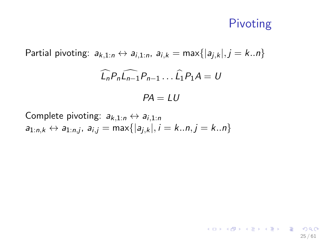25 / 61

K ロ ▶ K @ ▶ K 글 ▶ K 글 ▶ │ 글 │ ◆ Q Q <mark>Q</mark>

Partial pivoting:  $a_{k,1:n} \leftrightarrow a_{i,1:n}$ ,  $a_{i,k} = \max\{|a_{i,k}|, j = k..n\}$  $\widehat{L_n}P_n\widehat{L_{n-1}}P_{n-1}\dots\widehat{L_1}P_1A = U$  $PA = I U$ 

Complete pivoting:  $a_{k,1:n} \leftrightarrow a_{i,1:n}$  $a_{1:n,k} \leftrightarrow a_{1:n,j}, \ a_{i,j} = \textsf{max}\{|a_{j,k}|, i = k..n, j = k..n\}$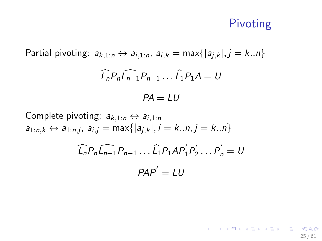25 / 61

K ロ ▶ K @ ▶ K 할 ▶ K 할 ▶ ... 할 ... 900

Partial pivoting:  $a_{k,1:n} \leftrightarrow a_{i,1:n}$ ,  $a_{i,k} = \max\{|a_{i,k}|, j = k..n\}$  $\widehat{L_n}P_n\widehat{L_{n-1}}P_{n-1} \dots \widehat{L_1}P_1A = U$  $PA = LU$ 

Complete pivoting:  $a_{k,1:n} \leftrightarrow a_{i,1:n}$  $a_{1:n,k} \leftrightarrow a_{1:n,j}, \ a_{i,j} = \textsf{max}\{|a_{j,k}|, i = k..n, j = k..n\}$ 

$$
\widehat{L_n} P_n \widehat{L_{n-1}} P_{n-1} \dots \widehat{L_1} P_1 A P'_1 P'_2 \dots P'_n = U
$$

$$
P A P' = LU
$$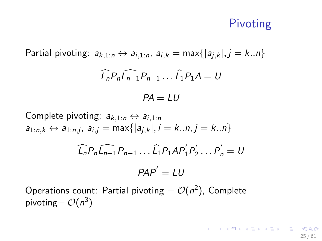## Pivoting

Partial pivoting:  $a_{k,1:n} \leftrightarrow a_{i,1:n}$ ,  $a_{i,k} = \max\{|a_{i,k}|, j = k...n\}$  $\widehat{l}_{n}P_{n}\widehat{l_{n-1}}P_{n-1} \dots \widehat{l_{1}}P_{1}A = U$  $PA = I U$ 

Complete pivoting:  $a_{k,1:n} \leftrightarrow a_{i,1:n}$  $a_{1:n,k} \leftrightarrow a_{1:n,j}, \ a_{i,j} = \textsf{max}\{|a_{j,k}|, i = k..n, j = k..n\}$  $\widehat{L_n} P_n \widehat{L_{n-1}} P_{n-1} \dots \widehat{L_1} P_1 A P_1' P_2'$  $P'_{2} \ldots P'_{n} = U$  $PAP' = LU$ 

Operations count: Partial pivoting  $= \mathcal{O}(n^2)$ , Complete pivoting=  $\mathcal{O}(n^3)$ 

> **KORK CRANEY KEY CRANE** 25 / 61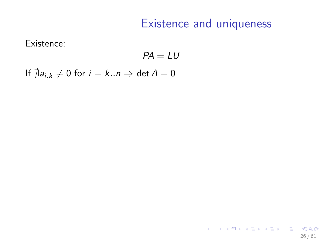26 / 61

K ロ ▶ K @ ▶ K 할 ▶ K 할 ▶ ( 할 ) 900

Existence:

 $PA = LU$ 

If  $\neq a_{i,k} \neq 0$  for  $i = k..n \Rightarrow \det A = 0$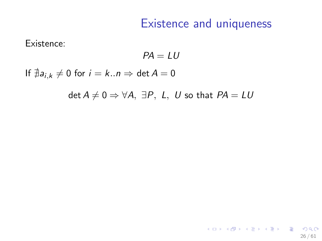Existence:

 $PA = III$ 

If  $\exists a_{i,k} \neq 0$  for  $i = k..n \Rightarrow \det A = 0$ 

det  $A \neq 0 \Rightarrow \forall A, \exists P, L, U$  so that  $PA = LU$ 

K ロ ▶ K @ ▶ K 할 ▶ K 할 ▶ ( 할 ) 900 26 / 61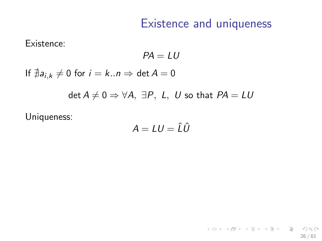Existence:

 $PA = III$ 

If  $\neq a_{i,k} \neq 0$  for  $i = k..n \Rightarrow \det A = 0$ 

det  $A \neq 0 \Rightarrow \forall A, \exists P, L, U$  so that  $PA = LU$ 

Uniqueness:

$$
A = LU = \hat{L}\hat{U}
$$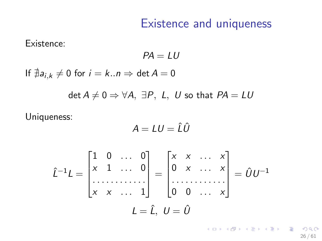Existence:

 $PA = III$ 

If  $\neq a_{i,k} \neq 0$  for  $i = k..n \Rightarrow \det A = 0$ 

det  $A \neq 0 \Rightarrow \forall A, \exists P, L, U$  so that  $PA = LU$ 

Uniqueness:

$$
A = LU = \hat{L}\hat{U}
$$

$$
\hat{L}^{-1}L = \begin{bmatrix} 1 & 0 & \dots & 0 \\ x & 1 & \dots & 0 \\ \dots & \dots & \dots & \dots \\ x & x & \dots & 1 \end{bmatrix} = \begin{bmatrix} x & x & \dots & x \\ 0 & x & \dots & x \\ \dots & \dots & \dots & \dots \\ 0 & 0 & \dots & x \end{bmatrix} = \hat{U}U^{-1}
$$

$$
L = \hat{L}, U = \hat{U}
$$

K ロ ▶ K @ ▶ K 할 > K 할 > → 할 → 9 Q Q 26 / 61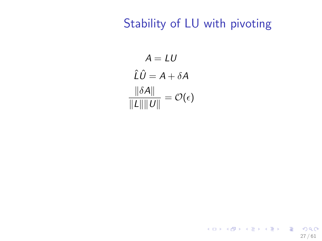$A = LU$  $\hat{L}\hat{U} = A + \delta A$  $\|\delta A\|$  $\frac{\partial}{\partial \|\mathcal{L}\| \|\mathcal{U}\|} = \mathcal{O}(\epsilon)$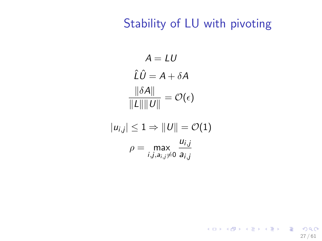27 / 61

K ロ ▶ K @ ▶ K 할 ▶ K 할 ▶ ① 할 → ① 의 ①

 $A = LU$  $\hat{L}\hat{U} = A + \delta A$  $\|\delta A\|$  $\frac{\partial}{\partial \|\mathcal{L}\| \|\mathcal{U}\|} = \mathcal{O}(\epsilon)$ 

$$
|u_{i,j}| \leq 1 \Rightarrow ||U|| = \mathcal{O}(1)
$$

$$
\rho = \max_{i,j,a_{i,j} \neq 0} \frac{u_{i,j}}{a_{i,j}}
$$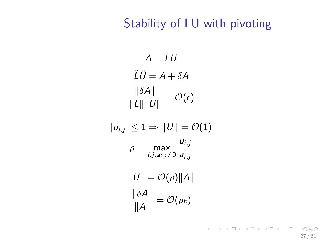$A = LU$  $\hat{I} \hat{U} = A + \delta A$  $\|\delta A\|$  $\frac{\partial}{\partial \|\mathcal{L}\| \|\mathcal{U}\|} = \mathcal{O}(\epsilon)$  $\|u_{i,j}\|\leq 1 \Rightarrow \|U\| = \mathcal{O}(1)$ 

$$
\rho = \max_{i,j,a_{i,j} \neq 0} \frac{u_{i,j}}{a_{i,j}}
$$

 $\|U\| = \mathcal{O}(\rho)\|A\|$  $\|\delta A\|$  $\frac{\partial \mathcal{L}(\rho)}{\|\mathcal{A}\|} = \mathcal{O}(\rho \epsilon)$ 

> K ロ ▶ K @ ▶ K 할 ▶ K 할 ▶ 이 할 → 9 Q Q → 27 / 61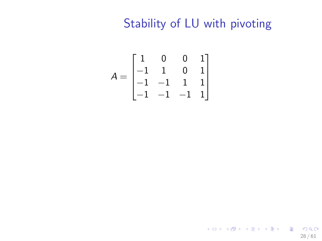$$
A = \begin{bmatrix} 1 & 0 & 0 & 1 \\ -1 & 1 & 0 & 1 \\ -1 & -1 & 1 & 1 \\ -1 & -1 & -1 & 1 \end{bmatrix}
$$

K ロ ▶ K @ ▶ K 할 ▶ K 할 ▶ 이 할 → 9 Q Q → 28 / 61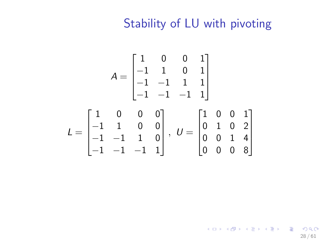$$
A = \begin{bmatrix} 1 & 0 & 0 & 1 \\ -1 & 1 & 0 & 1 \\ -1 & -1 & 1 & 1 \\ -1 & -1 & -1 & 1 \end{bmatrix}
$$

$$
L = \begin{bmatrix} 1 & 0 & 0 & 0 \\ -1 & 1 & 0 & 0 \\ -1 & -1 & 1 & 0 \\ -1 & -1 & -1 & 1 \end{bmatrix}, \ U = \begin{bmatrix} 1 & 0 & 0 & 1 \\ 0 & 1 & 0 & 2 \\ 0 & 0 & 1 & 4 \\ 0 & 0 & 0 & 8 \end{bmatrix}
$$

K ロ ▶ K @ ▶ K 할 ▶ K 할 ▶ 이 할 → 9 Q Q → 28 / 61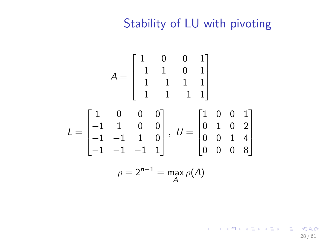$$
A = \begin{bmatrix} 1 & 0 & 0 & 1 \\ -1 & 1 & 0 & 1 \\ -1 & -1 & 1 & 1 \\ -1 & -1 & -1 & 1 \end{bmatrix}
$$
  
\n
$$
L = \begin{bmatrix} 1 & 0 & 0 & 0 \\ -1 & 1 & 0 & 0 \\ -1 & -1 & 1 & 0 \\ -1 & -1 & -1 & 1 \end{bmatrix}, \ U = \begin{bmatrix} 1 & 0 & 0 & 1 \\ 0 & 1 & 0 & 2 \\ 0 & 0 & 1 & 4 \\ 0 & 0 & 0 & 8 \end{bmatrix}
$$
  
\n
$$
\rho = 2^{n-1} = \max_{A} \rho(A)
$$

K ロ ▶ K @ ▶ K 할 ▶ K 할 ▶ 이 할 → 9 Q Q → 28 / 61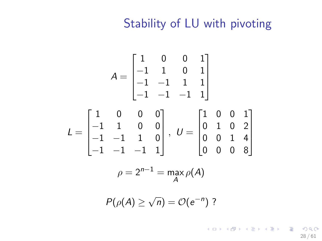$$
A = \begin{bmatrix} 1 & 0 & 0 & 1 \\ -1 & 1 & 0 & 1 \\ -1 & -1 & 1 & 1 \\ -1 & -1 & -1 & 1 \end{bmatrix}
$$
  
\n
$$
L = \begin{bmatrix} 1 & 0 & 0 & 0 \\ -1 & 1 & 0 & 0 \\ -1 & -1 & 1 & 0 \\ -1 & -1 & -1 & 1 \end{bmatrix}, \ U = \begin{bmatrix} 1 & 0 & 0 & 1 \\ 0 & 1 & 0 & 2 \\ 0 & 0 & 1 & 4 \\ 0 & 0 & 0 & 8 \end{bmatrix}
$$
  
\n
$$
\rho = 2^{n-1} = \max_{A} \rho(A)
$$

 $P(\rho(A) \geq$  $\overline{n}) = \mathcal{O}(e^{-n})$  ?

> K ロ ▶ K @ ▶ K 할 ▶ K 할 ▶ → 할 → 9 Q @ 28 / 61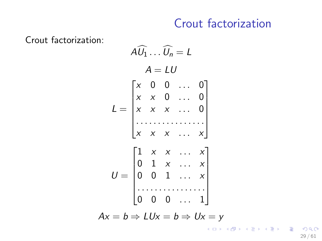## Crout factorization

Crout factorization:

$$
A\widehat{U}_1 \dots \widehat{U}_n = L
$$
\n
$$
A = LU
$$
\n
$$
L = \begin{bmatrix} x & 0 & 0 & \dots & 0 \\ x & x & 0 & \dots & 0 \\ x & x & x & \dots & 0 \\ \vdots & \vdots & \vdots & \ddots & \vdots \\ x & x & x & \dots & x \\ 0 & 1 & x & \dots & x \\ 0 & 0 & 1 & \dots & x \\ \vdots & \vdots & \vdots & \vdots & \vdots \end{bmatrix}
$$
\n
$$
U = \begin{bmatrix} 1 & x & x & \dots & x \\ 0 & 1 & x & \dots & x \\ 0 & 0 & 1 & \dots & x \\ \vdots & \vdots & \vdots & \vdots & \vdots \end{bmatrix}
$$
\n
$$
Ax = b \Rightarrow LUx = b \Rightarrow Ux = y
$$

29 / 61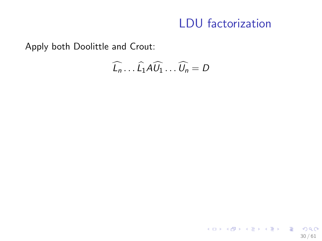### LDU factorization

Apply both Doolittle and Crout:

$$
\widehat{L_n} \dots \widehat{L_1} A \widehat{U_1} \dots \widehat{U_n} = D
$$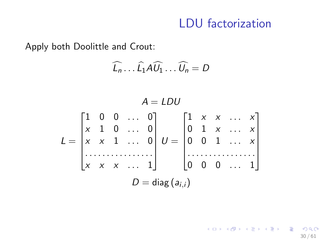### LDU factorization

Apply both Doolittle and Crout:

$$
\widehat{L_n} \dots \widehat{L_1} A \widehat{U_1} \dots \widehat{U_n} = D
$$

$$
A = LDU
$$
  
\n
$$
L = \begin{bmatrix} 1 & 0 & 0 & \dots & 0 \\ x & 1 & 0 & \dots & 0 \\ x & x & 1 & \dots & 0 \\ \dots & \dots & \dots & \dots & \dots \\ x & x & x & \dots & 1 \end{bmatrix} U = \begin{bmatrix} 1 & x & x & \dots & x \\ 0 & 1 & x & \dots & x \\ 0 & 0 & 1 & \dots & x \\ \dots & \dots & \dots & \dots & \dots \\ 0 & 0 & 0 & \dots & 1 \end{bmatrix}
$$
  
\n
$$
D = diag(a_{i,j})
$$

K ロ ▶ K @ ▶ K 할 ▶ K 할 ▶ → 할 → 9 Q @ 30 / 61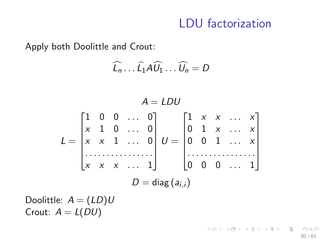## LDU factorization

30 / 61

K ロ X (日) X (日) X (日) X (日) X (日) X (日) X (日) X (日) X (日) X (日) X (日)

Apply both Doolittle and Crout:

$$
\widehat{L_n}\ldots\widehat{L_1}A\widehat{U_1}\ldots\widehat{U_n}=D
$$

$$
A = LDU
$$
  
\n
$$
L = \begin{bmatrix} 1 & 0 & 0 & \dots & 0 \\ x & 1 & 0 & \dots & 0 \\ x & x & 1 & \dots & 0 \\ \dots & \dots & \dots & \dots & \dots \\ x & x & x & \dots & 1 \end{bmatrix} U = \begin{bmatrix} 1 & x & x & \dots & x \\ 0 & 1 & x & \dots & x \\ 0 & 0 & 1 & \dots & x \\ \dots & \dots & \dots & \dots & \dots \\ 0 & 0 & 0 & \dots & 1 \end{bmatrix}
$$
  
\n
$$
D = diag(a_{i,i})
$$

Doolittle:  $A = (LD)U$ Crout:  $A = L(DU)$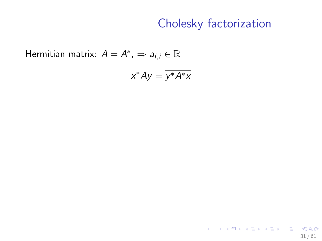Hermitian matrix:  $A = A^*$ ,  $\Rightarrow a_{i,i} \in \mathbb{R}$ 

$$
x^*Ay=\overline{y^*A^*x}
$$

K ロ ▶ K @ ▶ K 할 ▶ K 할 ▶ → 할 → 9 Q @ 31 / 61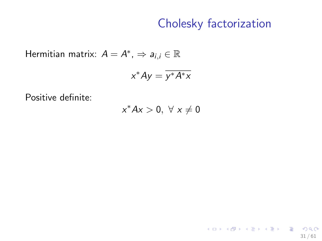31 / 61

K ロ ▶ K @ ▶ K 할 ▶ K 할 ▶ → 할 → 9 Q @

Hermitian matrix:  $A = A^*$ ,  $\Rightarrow a_{i,i} \in \mathbb{R}$ 

$$
x^*Ay=\overline{y^*A^*x}
$$

Positive definite:

 $x^*Ax > 0, \ \forall \ x \neq 0$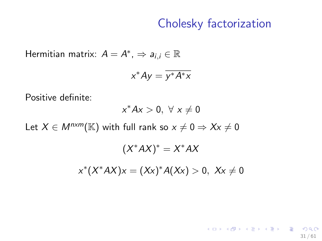31 / 61

K ロ ▶ K @ ▶ K 할 ▶ K 할 ▶ → 할 → 9 Q @

Hermitian matrix:  $A = A^*$ ,  $\Rightarrow a_{i,i} \in \mathbb{R}$ 

$$
x^*Ay=\overline{y^*A^*x}
$$

Positive definite:

$$
x^*Ax>0,~\forall~x\neq 0
$$

Let  $X \in M^{n \times m}(\mathbb{K})$  with full rank so  $x \neq 0 \Rightarrow Xx \neq 0$ 

$$
(X^*AX)^* = X^*AX
$$

$$
x^*(X^*AX)x = (Xx)^*A(Xx) > 0, \quad Xx \neq 0
$$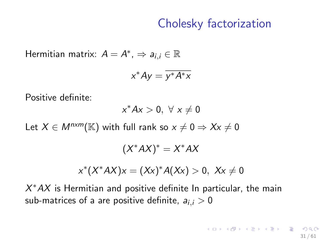Hermitian matrix:  $A = A^*$ ,  $\Rightarrow a_{i,i} \in \mathbb{R}$ 

$$
x^*Ay=\overline{y^*A^*x}
$$

Positive definite:

$$
x^*Ax>0, \ \forall \ x\neq 0
$$

Let  $X \in M^{n \times m}(\mathbb{K})$  with full rank so  $x \neq 0 \Rightarrow Xx \neq 0$ 

 $(X^*AX)^* = X^*AX$ 

$$
x^*(X^*AX)x = (Xx)^*A(Xx) > 0, \ Xx \neq 0
$$

 $X^*AX$  is Hermitian and positive definite In particular, the main sub-matrices of a are positive definite,  $a_{i,j} > 0$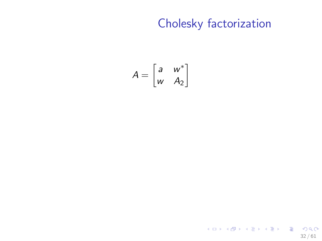$$
A = \begin{bmatrix} a & w^* \\ w & A_2 \end{bmatrix}
$$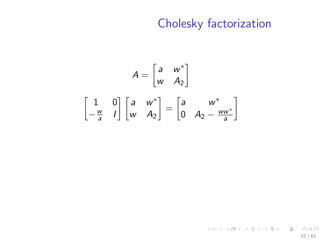$$
A = \begin{bmatrix} a & w^* \\ w & A_2 \end{bmatrix}
$$

$$
\begin{bmatrix} 1 & 0 \\ -\frac{w}{a} & 1 \end{bmatrix} \begin{bmatrix} a & w^* \\ w & A_2 \end{bmatrix} = \begin{bmatrix} a & w^* \\ 0 & A_2 - \frac{ww^*}{a} \end{bmatrix}
$$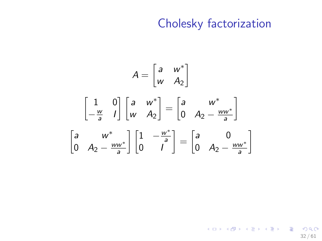$$
A = \begin{bmatrix} a & w^* \\ w & A_2 \end{bmatrix}
$$

$$
\begin{bmatrix} 1 & 0 \\ -\frac{w}{a} & 1 \end{bmatrix} \begin{bmatrix} a & w^* \\ w & A_2 \end{bmatrix} = \begin{bmatrix} a & w^* \\ 0 & A_2 - \frac{ww^*}{a} \end{bmatrix}
$$

$$
\begin{bmatrix} a & w^* \\ 0 & A_2 - \frac{ww^*}{a} \end{bmatrix} \begin{bmatrix} 1 & -\frac{w^*}{a} \\ 0 & 1 \end{bmatrix} = \begin{bmatrix} a & 0 \\ 0 & A_2 - \frac{ww^*}{a} \end{bmatrix}
$$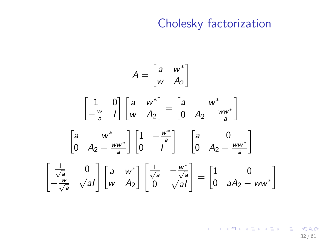$$
A = \begin{bmatrix} a & w^* \\ w & A_2 \end{bmatrix}
$$

$$
\begin{bmatrix} 1 & 0 \\ -\frac{w}{a} & l \end{bmatrix} \begin{bmatrix} a & w^* \\ w & A_2 \end{bmatrix} = \begin{bmatrix} a & w^* \\ 0 & A_2 - \frac{w w^*}{a} \end{bmatrix}
$$

$$
\begin{bmatrix} a & w^* \\ 0 & A_2 - \frac{w w^*}{a} \end{bmatrix} \begin{bmatrix} 1 & -\frac{w^*}{a} \\ 0 & l \end{bmatrix} = \begin{bmatrix} a & 0 \\ 0 & A_2 - \frac{w w^*}{a} \end{bmatrix}
$$

$$
\begin{bmatrix} \frac{1}{\sqrt{a}} & 0 \\ -\frac{w}{\sqrt{a}} & \sqrt{a}l \end{bmatrix} \begin{bmatrix} a & w^* \\ w & A_2 \end{bmatrix} \begin{bmatrix} \frac{1}{\sqrt{a}} & -\frac{w^*}{\sqrt{a}} \\ 0 & \sqrt{a}l \end{bmatrix} = \begin{bmatrix} 1 & 0 \\ 0 & aA_2 - ww^* \end{bmatrix}
$$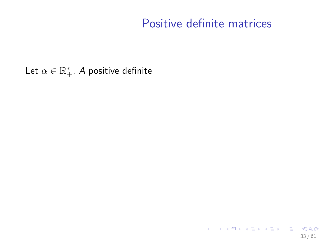Let  $\alpha \in \mathbb{R}_+^*$ , A positive definite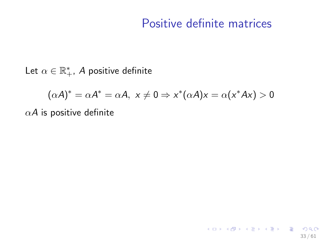33 / 61

K ロ ▶ K @ ▶ K 할 ▶ K 할 ▶ → 할 → 9 Q @

Let  $\alpha \in \mathbb{R}_+^*$ , A positive definite

$$
(\alpha A)^* = \alpha A^* = \alpha A, \ x \neq 0 \Rightarrow x^*(\alpha A)x = \alpha(x^*Ax) > 0
$$

 $\alpha$ A is positive definite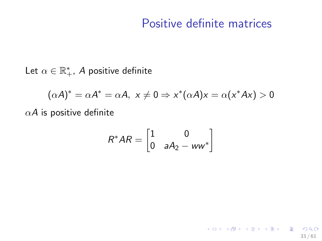33 / 61

K ロ ▶ K @ ▶ K 할 ▶ K 할 ▶ → 할 → 9 Q @

Let  $\alpha \in \mathbb{R}_+^*$ , A positive definite

$$
(\alpha A)^* = \alpha A^* = \alpha A, \ x \neq 0 \Rightarrow x^* (\alpha A) x = \alpha (x^* A x) > 0
$$

 $\alpha$ A is positive definite

$$
R^*AR = \begin{bmatrix} 1 & 0 \\ 0 & aA_2 - ww^* \end{bmatrix}
$$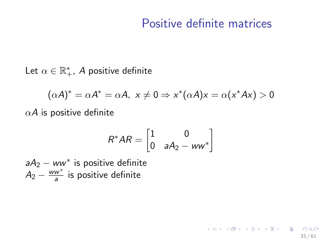33 / 61

K ロ ▶ K @ ▶ K 할 > K 할 > → 할 → 9 Q Q

Let  $\alpha \in \mathbb{R}_+^*$ , A positive definite

$$
(\alpha A)^* = \alpha A^* = \alpha A, \ x \neq 0 \Rightarrow x^*(\alpha A)x = \alpha(x^*Ax) > 0
$$

 $\alpha$ A is positive definite

$$
R^*AR = \begin{bmatrix} 1 & 0 \\ 0 & aA_2 - ww^* \end{bmatrix}
$$

 $aA_2 - ww^*$  is positive definite  $A_2 - \frac{ww^*}{a}$  $\frac{w^*}{a}$  is positive definite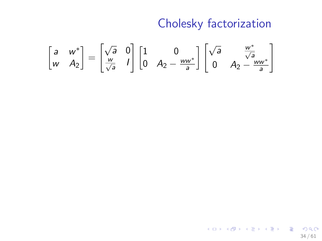$$
\begin{bmatrix} a & w^* \\ w & A_2 \end{bmatrix} = \begin{bmatrix} \sqrt{a} & 0 \\ \frac{w}{\sqrt{a}} & 1 \end{bmatrix} \begin{bmatrix} 1 & 0 \\ 0 & A_2 - \frac{ww^*}{a} \end{bmatrix} \begin{bmatrix} \sqrt{a} & \frac{w^*}{\sqrt{a}} \\ 0 & A_2 - \frac{ww^*}{a} \end{bmatrix}
$$

イロト イ団 トイモト イモト 一毛  $QQ$ 34 / 61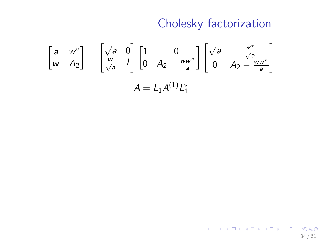$$
\begin{bmatrix} a & w^* \\ w & A_2 \end{bmatrix} = \begin{bmatrix} \sqrt{a} & 0 \\ \frac{w}{\sqrt{a}} & I \end{bmatrix} \begin{bmatrix} 1 & 0 \\ 0 & A_2 - \frac{ww^*}{a} \end{bmatrix} \begin{bmatrix} \sqrt{a} & \frac{w^*}{\sqrt{a}} \\ 0 & A_2 - \frac{ww^*}{a} \end{bmatrix}
$$

$$
A = L_1 A^{(1)} L_1^*
$$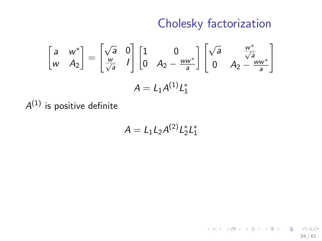$$
\begin{bmatrix} a & w^* \\ w & A_2 \end{bmatrix} = \begin{bmatrix} \sqrt{a} & 0 \\ \frac{w}{\sqrt{a}} & I \end{bmatrix} \begin{bmatrix} 1 & 0 \\ 0 & A_2 - \frac{ww^*}{a} \end{bmatrix} \begin{bmatrix} \sqrt{a} & \frac{w^*}{\sqrt{a}} \\ 0 & A_2 - \frac{ww^*}{a} \end{bmatrix}
$$

$$
A = L_1 A^{(1)} L_1^*
$$

 $\mathcal{A}^{(1)}$  is positive definite

$$
A=L_1L_2A^{(2)}L_2^*L_1^*
$$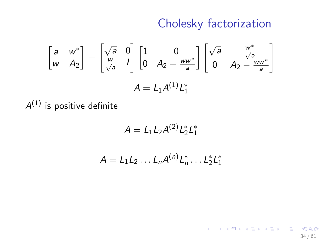34 / 61

 $\Omega$ 

K ロ X K 메 X X B X X B X T B

$$
\begin{bmatrix} a & w^* \\ w & A_2 \end{bmatrix} = \begin{bmatrix} \sqrt{a} & 0 \\ \frac{w}{\sqrt{a}} & I \end{bmatrix} \begin{bmatrix} 1 & 0 \\ 0 & A_2 - \frac{ww^*}{a} \end{bmatrix} \begin{bmatrix} \sqrt{a} & \frac{w^*}{\sqrt{a}} \\ 0 & A_2 - \frac{ww^*}{a} \end{bmatrix}
$$

$$
A = L_1 A^{(1)} L_1^*
$$

 $\mathcal{A}^{(1)}$  is positive definite

$$
A=L_1L_2A^{(2)}L_2^*L_1^*
$$

$$
A=L_1L_2\ldots L_nA^{(n)}L_n^*\ldots L_2^*L_1^*
$$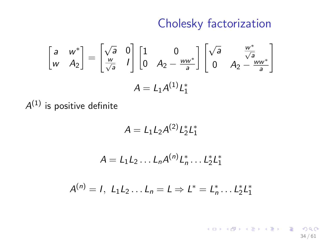$$
\begin{bmatrix} a & w^* \\ w & A_2 \end{bmatrix} = \begin{bmatrix} \sqrt{a} & 0 \\ \frac{w}{\sqrt{a}} & I \end{bmatrix} \begin{bmatrix} 1 & 0 \\ 0 & A_2 - \frac{ww^*}{a} \end{bmatrix} \begin{bmatrix} \sqrt{a} & \frac{w^*}{\sqrt{a}} \\ 0 & A_2 - \frac{ww^*}{a} \end{bmatrix}
$$

$$
A = L_1 A^{(1)} L_1^*
$$

 $\mathcal{A}^{(1)}$  is positive definite

$$
A=L_1L_2A^{(2)}L_2^*L_1^*
$$

$$
A = L_1 L_2 \dots L_n A^{(n)} L_n^* \dots L_2^* L_1^*
$$

$$
A^{(n)} = I, L_1L_2...L_n = L \Rightarrow L^* = L_n^*...L_2^*L_1^*
$$

K ロ X K 메 X X B X X B X T B  $299$ 34 / 61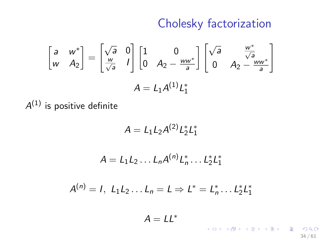$$
\begin{bmatrix} a & w^* \\ w & A_2 \end{bmatrix} = \begin{bmatrix} \sqrt{a} & 0 \\ \frac{w}{\sqrt{a}} & I \end{bmatrix} \begin{bmatrix} 1 & 0 \\ 0 & A_2 - \frac{ww^*}{a} \end{bmatrix} \begin{bmatrix} \sqrt{a} & \frac{w^*}{\sqrt{a}} \\ 0 & A_2 - \frac{ww^*}{a} \end{bmatrix}
$$

$$
A = L_1 A^{(1)} L_1^*
$$

 $\mathcal{A}^{(1)}$  is positive definite

$$
A=L_1L_2A^{(2)}L_2^*L_1^*
$$

$$
A = L_1 L_2 \dots L_n A^{(n)} L_n^* \dots L_2^* L_1^*
$$

$$
A^{(n)} = I, L_1L_2...L_n = L \Rightarrow L^* = L_n^*...L_2^*L_1^*
$$

 $A = LL^*$ 

K ロ ▶ K @ ▶ K 할 ▶ K 할 ▶ → 할 → 9 Q @ 34 / 61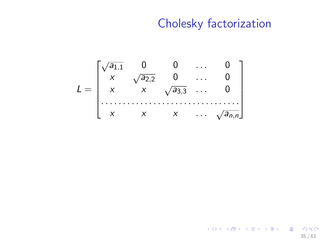$$
L = \begin{bmatrix} \sqrt{a_{1,1}} & 0 & 0 & \dots & 0 \\ x & \sqrt{a_{2,2}} & 0 & \dots & 0 \\ x & x & \sqrt{a_{3,3}} & \dots & 0 \\ \vdots & \vdots & \vdots & \ddots & \vdots \\ x & x & x & \dots & \sqrt{a_{n,n}} \end{bmatrix}
$$

イロト イ団 トイモト イモト 一毛  $-990$ 35 / 61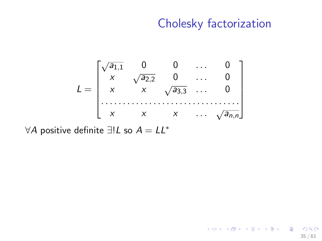$$
L = \begin{bmatrix} \sqrt{a_{1,1}} & 0 & 0 & \dots & 0 \\ x & \sqrt{a_{2,2}} & 0 & \dots & 0 \\ x & x & \sqrt{a_{3,3}} & \dots & 0 \\ \vdots & \vdots & \vdots & \ddots & \vdots \\ x & x & x & \dots & \sqrt{a_{n,n}} \end{bmatrix}
$$

∀A positive definite  $\exists !L$  so  $A = LL^*$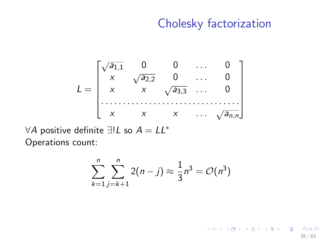#### Cholesky factorization

$$
L = \begin{bmatrix} \sqrt{a_{1,1}} & 0 & 0 & \cdots & 0 \\ x & \sqrt{a_{2,2}} & 0 & \cdots & 0 \\ x & x & \sqrt{a_{3,3}} & \cdots & 0 \\ \vdots & \vdots & \vdots & \ddots & \vdots \\ x & x & x & \cdots & \sqrt{a_{n,n}} \end{bmatrix}
$$

∀A positive definite  $\exists !L$  so  $A = LL^*$ Operations count:

$$
\sum_{k=1}^{n} \sum_{j=k+1}^{n} 2(n-j) \approx \frac{1}{3} n^3 = \mathcal{O}(n^3)
$$

지수는 지금에게 지금 되지 않아.  $OQ$ 35 / 61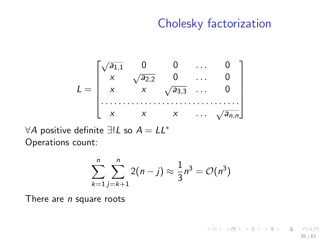#### Cholesky factorization

<span id="page-109-0"></span>
$$
L = \begin{bmatrix} \sqrt{a_{1,1}} & 0 & 0 & \cdots & 0 \\ x & \sqrt{a_{2,2}} & 0 & \cdots & 0 \\ x & x & \sqrt{a_{3,3}} & \cdots & 0 \\ \vdots & \vdots & \vdots & \ddots & \vdots \\ x & x & x & \cdots & \sqrt{a_{n,n}} \end{bmatrix}
$$

∀A positive definite  $\exists !L$  so  $A = LL^*$ Operations count:

$$
\sum_{k=1}^{n} \sum_{j=k+1}^{n} 2(n-j) \approx \frac{1}{3} n^3 = \mathcal{O}(n^3)
$$

There are  $n$  square roots

K ロ ▶ K @ ▶ K 할 ▶ K 할 ▶ ( 할 ) 900 35 / 61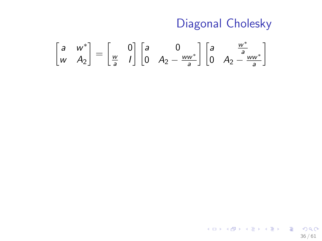# Diagonal Cholesky

$$
\begin{bmatrix} a & w^* \\ w & A_2 \end{bmatrix} = \begin{bmatrix} 0 \\ \frac{w}{a} & l \end{bmatrix} \begin{bmatrix} a & 0 \\ 0 & A_2 - \frac{ww^*}{a} \end{bmatrix} \begin{bmatrix} a & \frac{w^*}{a} \\ 0 & A_2 - \frac{ww^*}{a} \end{bmatrix}
$$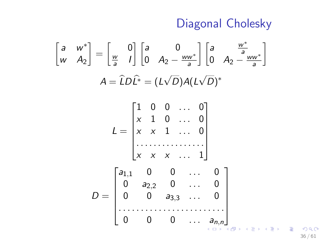Diagonal Cholesky

$$
\begin{bmatrix}\na & w^* \\
w & A_2\n\end{bmatrix} = \begin{bmatrix}\n0 \\
\frac{w}{a} & 1\n\end{bmatrix} \begin{bmatrix}\na & 0 \\
0 & A_2 - \frac{ww^*}{a}\n\end{bmatrix} \begin{bmatrix}\na & \frac{w^*}{a} \\
0 & A_2 - \frac{ww^*}{a}\n\end{bmatrix}
$$
\n
$$
A = \hat{L}D\hat{L}^* = (L\sqrt{D})A(L\sqrt{D})^*
$$
\n
$$
L = \begin{bmatrix}\n1 & 0 & 0 & \cdots & 0 \\
x & 1 & 0 & \cdots & 0 \\
x & x & 1 & \cdots & 0 \\
\vdots & \vdots & \ddots & \ddots & \vdots\n\end{bmatrix}
$$
\n
$$
D = \begin{bmatrix}\na_{1,1} & 0 & 0 & \cdots & 0 \\
0 & a_{2,2} & 0 & \cdots & 0 \\
0 & 0 & a_{3,3} & \cdots & 0 \\
\vdots & \vdots & \vdots & \ddots & \vdots\n\end{bmatrix}
$$

 $299$ 36 / 61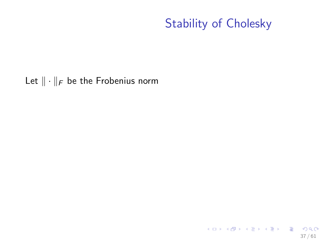<span id="page-112-0"></span>Let  $\|\cdot\|_F$  be the Frobenius norm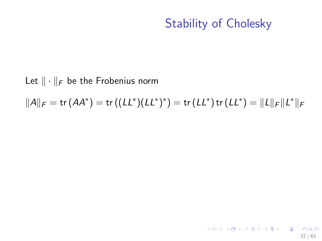37 / 61

K ロ > K @ > K 할 > K 할 > 1 할 : X 9 Q Q\*

#### Let  $\|\cdot\|_F$  be the Frobenius norm

$$
||A||_F = \text{tr} (AA^*) = \text{tr} ((LL^*)(LL^*)^*) = \text{tr} (LL^*) \text{tr} (LL^*) = ||L||_F ||L^*||_F
$$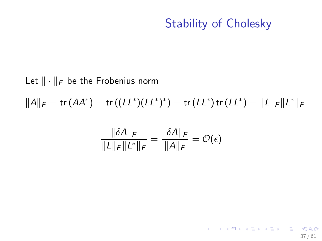37 / 61

K ロ ▶ K @ ▶ K 할 ▶ K 할 ▶ ( 할 ) 900

#### Let  $\|\cdot\|_F$  be the Frobenius norm

 $||A||_F = \text{tr} (AA^*) = \text{tr} ((LL^*)(LL^*)^*) = \text{tr} (LL^*) \text{tr} (LL^*) = ||L||_F ||L^*||_F$ 

$$
\frac{\|\delta A\|_F}{\|L\|_F\|L^*\|_F} = \frac{\|\delta A\|_F}{\|A\|_F} = \mathcal{O}(\epsilon)
$$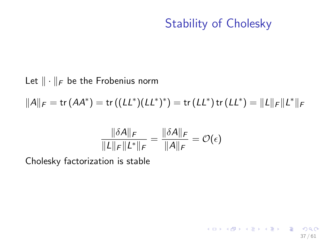37 / 61

**KORK EX KEY STARK** 

#### Let  $\|\cdot\|_F$  be the Frobenius norm

 $||A||_F = \text{tr} (AA^*) = \text{tr} ((LL^*)(LL^*)^*) = \text{tr} (LL^*) \text{tr} (LL^*) = ||L||_F ||L^*||_F$ 

$$
\frac{\|\delta A\|_F}{\|L\|_F\|L^*\|_F} = \frac{\|\delta A\|_F}{\|A\|_F} = \mathcal{O}(\epsilon)
$$

Cholesky factorization is stable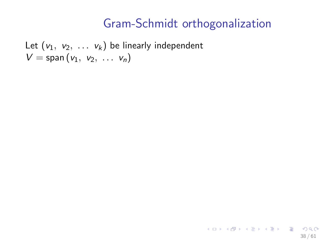Let  $(v_1, v_2, \ldots v_k)$  be linearly independent  $V =$ span  $(v_1, v_2, \ldots, v_n)$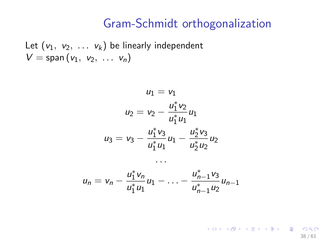Let  $(v_1, v_2, \ldots v_k)$  be linearly independent  $V =$ span  $(v_1, v_2, \ldots, v_n)$ 

$$
u_1 = v_1
$$
  
\n
$$
u_2 = v_2 - \frac{u_1^* v_2}{u_1^* u_1} u_1
$$
  
\n
$$
u_3 = v_3 - \frac{u_1^* v_3}{u_1^* u_1} u_1 - \frac{u_2^* v_3}{u_2^* u_2} u_2
$$
  
\n...

$$
u_n = v_n - \frac{u_1^* v_n}{u_1^* u_1} u_1 - \ldots - \frac{u_{n-1}^* v_3}{u_{n-1}^* u_2} u_{n-1}
$$

K ロ X x (個) X x を X x を X → 「重 → の Q Q → 38 / 61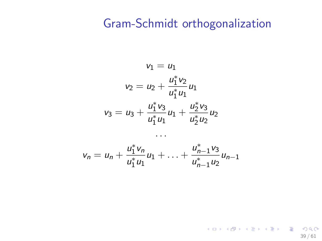$$
v_1 = u_1
$$
  

$$
v_2 = u_2 + \frac{u_1^* v_2}{u_1^* u_1} u_1
$$
  

$$
v_3 = u_3 + \frac{u_1^* v_3}{u_1^* u_1} u_1 + \frac{u_2^* v_3}{u_2^* u_2} u_2
$$

$$
v_n = u_n + \frac{u_1^* v_n}{u_1^* u_1} u_1 + \ldots + \frac{u_{n-1}^* v_3}{u_{n-1}^* u_2} u_{n-1}
$$

. . .

K ロ ▶ K @ ▶ K 할 ▶ K 할 ▶ → 할 → 9 Q @ 39 / 61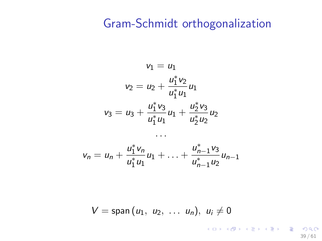$$
v_1 = u_1
$$
  

$$
v_2 = u_2 + \frac{u_1^* v_2}{u_1^* u_1} u_1
$$
  

$$
v_3 = u_3 + \frac{u_1^* v_3}{u_1^* u_1} u_1 + \frac{u_2^* v_3}{u_2^* u_2} u_2
$$

$$
v_n = u_n + \frac{u_1^* v_n}{u_1^* u_1} u_1 + \ldots + \frac{u_{n-1}^* v_3}{u_{n-1}^* u_2} u_{n-1}
$$

. . .

$$
V = \text{span}(u_1, u_2, \ldots u_n), u_i \neq 0
$$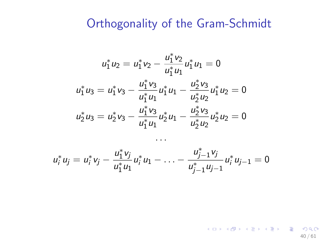#### Orthogonality of the Gram-Schmidt

$$
u_1^* u_2 = u_1^* v_2 - \frac{u_1^* v_2}{u_1^* u_1} u_1^* u_1 = 0
$$
  

$$
u_1^* u_3 = u_1^* v_3 - \frac{u_1^* v_3}{u_1^* u_1} u_1^* u_1 - \frac{u_2^* v_3}{u_2^* u_2} u_1^* u_2 = 0
$$
  

$$
u_2^* u_3 = u_2^* v_3 - \frac{u_1^* v_3}{u_1^* u_1} u_2^* u_1 - \frac{u_2^* v_3}{u_2^* u_2} u_2^* u_2 = 0
$$

 $u_i^* u_j = u_i^* v_j - \frac{u_1^* v_j}{u_1^* u_2^*}$  $\frac{u_1 v_j}{u_1^* u_1} u_1^* u_1 - \ldots$  $u_{j-1}^* v_j$  $u_{j-1}^* u_j + u_j^* u_{j-1} = 0$ 

40 / 61

K ロ X K @ X K 할 X K 할 X - 할 X Y Q Q @

. . .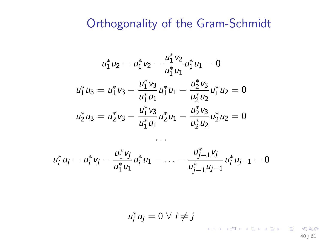## Orthogonality of the Gram-Schmidt

$$
u_1^* u_2 = u_1^* v_2 - \frac{u_1^* v_2}{u_1^* u_1} u_1^* u_1 = 0
$$
  

$$
u_1^* u_3 = u_1^* v_3 - \frac{u_1^* v_3}{u_1^* u_1} u_1^* u_1 - \frac{u_2^* v_3}{u_2^* u_2} u_1^* u_2 = 0
$$
  

$$
u_2^* u_3 = u_2^* v_3 - \frac{u_1^* v_3}{u_1^* u_1} u_2^* u_1 - \frac{u_2^* v_3}{u_2^* u_2} u_2^* u_2 = 0
$$

$$
u_i^* u_j = u_i^* v_j - \frac{u_1^* v_j}{u_1^* u_1} u_i^* u_1 - \ldots - \frac{u_{j-1}^* v_j}{u_{j-1}^* u_{j-1}} u_i^* u_{j-1} = 0
$$

. . .

$$
u_i^* u_j = 0 \,\forall \, i \neq j
$$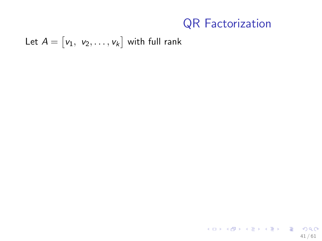Let  $A=\begin{bmatrix} \mathsf{v}_1, \;\, \mathsf{v}_2, \ldots, \mathsf{v}_k \end{bmatrix}$  with full rank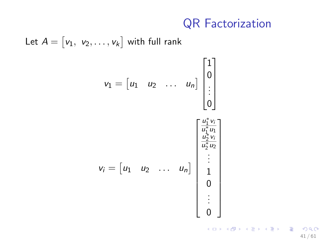Let 
$$
A = [v_1, v_2, ..., v_k]
$$
 with full rank  
\n
$$
v_1 = [u_1 \quad u_2 \quad ... \quad u_n] \begin{bmatrix} 1 \\ 0 \\ \vdots \\ 0 \end{bmatrix}
$$
\n
$$
v_i = [u_1 \quad u_2 \quad ... \quad u_n] \begin{bmatrix} \frac{u_1^* v_i}{u_1^* u_1} \\ \frac{u_2^* v_i}{u_2^* u_2} \\ \vdots \\ 0 \end{bmatrix}
$$
\n
$$
v_i = \begin{bmatrix} u_1 & u_2 & ... & u_n \end{bmatrix} \begin{bmatrix} \frac{u_1^* v_i}{u_1^* u_1} \\ \vdots \\ \frac{u_2^* v_i}{u_2^* u_2} \\ \vdots \\ 0 \end{bmatrix}
$$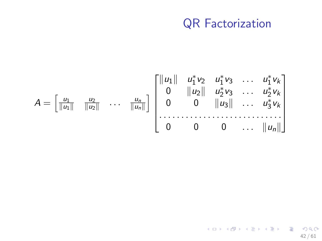$$
A = \begin{bmatrix} \frac{u_1}{\|u_1\|} & \frac{u_2}{\|u_2\|} & \cdots & \frac{u_n}{\|u_n\|} \end{bmatrix} \begin{bmatrix} \|u_1\| & u_1^* v_2 & u_1^* v_3 & \cdots & u_1^* v_k \\ 0 & \|u_2\| & u_2^* v_3 & \cdots & u_2^* v_k \\ 0 & 0 & \|u_3\| & \cdots & u_3^* v_k \\ \cdots & \cdots & \cdots & \cdots & \cdots & \cdots \\ 0 & 0 & 0 & \cdots & \|u_n\| \end{bmatrix}
$$

K ロ X K @ X K 할 X K 할 X ( 할  $QQ$ 42 / 61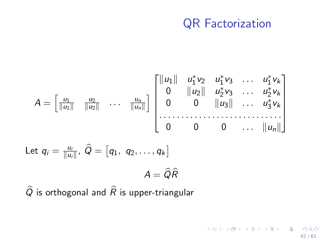42 / 61

 $2990$ 

イロト 不優 ト 不差 ト 不差 トー 差

$$
A = \begin{bmatrix} \frac{u_1}{\|u_1\|} & \frac{u_2}{\|u_2\|} & \cdots & \frac{u_n}{\|u_n\|} \end{bmatrix} \begin{bmatrix} \|u_1\| & u_1^* v_2 & u_1^* v_3 & \cdots & u_1^* v_k \\ 0 & \|u_2\| & u_2^* v_3 & \cdots & u_2^* v_k \\ 0 & 0 & \|u_3\| & \cdots & u_3^* v_k \\ \vdots & \vdots & \vdots & \ddots & \vdots \\ 0 & 0 & 0 & \cdots & \|u_n\| \end{bmatrix}
$$
  
Let  $q_i = \frac{u_i}{\|u_i\|}, \ \hat{Q} = [q_1, q_2, \ldots, q_k]$   

$$
A = \hat{Q}\hat{R}
$$

 $\widehat{Q}$  is orthogonal and  $\widehat{R}$  is upper-triangular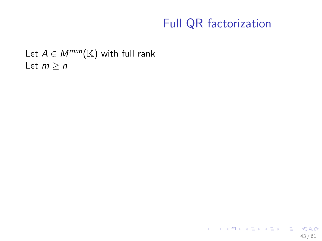Let  $A \in M^{m \times n}(\mathbb{K})$  with full rank Let  $m \geq n$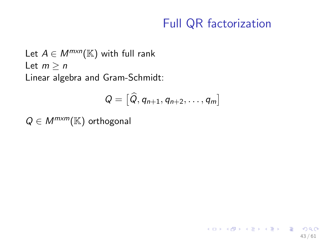43 / 61

K ロ ▶ K @ ▶ K 할 > K 할 > → 할 → 9 Q Q

Let  $A \in M^{m \times n}(\mathbb{K})$  with full rank Let  $m > n$ Linear algebra and Gram-Schmidt:

$$
Q = [\hat{Q}, q_{n+1}, q_{n+2}, \ldots, q_m]
$$

 $Q \in M^{m \times m}(\mathbb{K})$  orthogonal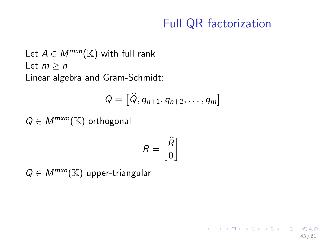43 / 61

K ロ ▶ K @ ▶ K 할 > K 할 > → 할 → 9 Q Q

Let  $A \in M^{m \times n}(\mathbb{K})$  with full rank Let  $m > n$ Linear algebra and Gram-Schmidt:

$$
Q = [\widehat{Q}, q_{n+1}, q_{n+2}, \ldots, q_m]
$$

 $Q \in M^{m \times m}(\mathbb{K})$  orthogonal

$$
R = \begin{bmatrix} \widehat{R} \\ 0 \end{bmatrix}
$$

 $\sim$ 

 $Q \in M^{m \times n}(\mathbb{K})$  upper-triangular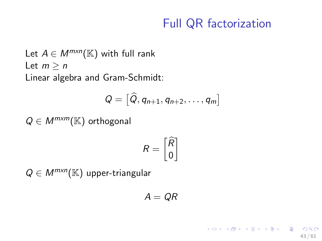43 / 61

K ロ ▶ K @ ▶ K 할 > K 할 > → 할 → 9 Q Q

Let  $A \in M^{m \times n}(\mathbb{K})$  with full rank Let  $m > n$ Linear algebra and Gram-Schmidt:

$$
Q = [\widehat{Q}, q_{n+1}, q_{n+2}, \ldots, q_m]
$$

 $Q \in M^{m \times m}(\mathbb{K})$  orthogonal

$$
R = \begin{bmatrix} \widehat{R} \\ 0 \end{bmatrix}
$$

 $\sim$ 

 $Q \in M^{m \times n}(\mathbb{K})$  upper-triangular

$$
A=QR
$$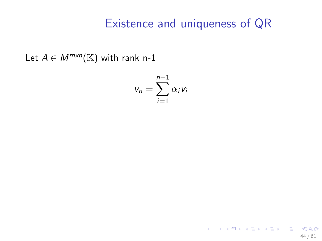Let  $A \in M^{m \times n}(\mathbb{K})$  with rank n-1

$$
v_n = \sum_{i=1}^{n-1} \alpha_i v_i
$$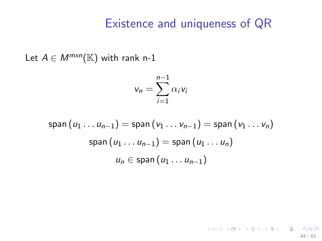44 / 61

K ロ ▶ K @ ▶ K 할 ▶ K 할 ▶ → 할 → 9 Q @

Let  $A \in M^{m \times n}(\mathbb{K})$  with rank n-1

$$
v_n = \sum_{i=1}^{n-1} \alpha_i v_i
$$

$$
\text{span}(u_1 \dots u_{n-1}) = \text{span}(v_1 \dots v_{n-1}) = \text{span}(v_1 \dots v_n)
$$
\n
$$
\text{span}(u_1 \dots u_{n-1}) = \text{span}(u_1 \dots u_n)
$$
\n
$$
u_n \in \text{span}(u_1 \dots u_{n-1})
$$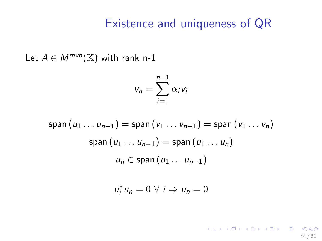Let  $A \in M^{m \times n}(\mathbb{K})$  with rank n-1

$$
v_n = \sum_{i=1}^{n-1} \alpha_i v_i
$$

$$
\text{span}(u_1 \dots u_{n-1}) = \text{span}(v_1 \dots v_{n-1}) = \text{span}(v_1 \dots v_n)
$$
\n
$$
\text{span}(u_1 \dots u_{n-1}) = \text{span}(u_1 \dots u_n)
$$
\n
$$
u_n \in \text{span}(u_1 \dots u_{n-1})
$$

$$
u_i^*u_n=0\ \forall\ i\Rightarrow u_n=0
$$

K ロ ▶ K @ ▶ K 할 ▶ K 할 ▶ → 할 → 9 Q @ 44 / 61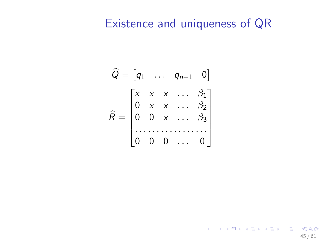$$
\widehat{Q} = \begin{bmatrix} q_1 & \dots & q_{n-1} & 0 \end{bmatrix}
$$
\n
$$
\widehat{R} = \begin{bmatrix} x & x & x & \dots & \beta_1 \\ 0 & x & x & \dots & \beta_2 \\ 0 & 0 & x & \dots & \beta_3 \\ \dots & \dots & \dots & \dots & \dots \\ 0 & 0 & 0 & \dots & 0 \end{bmatrix}
$$

K ロ > K @ > K 할 > K 할 > 1 할 : X 9 Q Q\* 45 / 61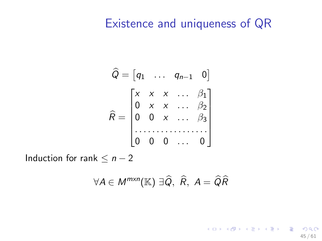$$
\widehat{Q} = \begin{bmatrix} q_1 & \dots & q_{n-1} & 0 \end{bmatrix}
$$

$$
\widehat{R} = \begin{bmatrix} x & x & x & \dots & \beta_1 \\ 0 & x & x & \dots & \beta_2 \\ 0 & 0 & x & \dots & \beta_3 \\ \vdots & \vdots & \vdots & \ddots & \vdots \\ 0 & 0 & 0 & \dots & 0 \end{bmatrix}
$$

Induction for rank  $\leq n-2$ 

$$
\forall A \in M^{m \times n}(\mathbb{K}) \; \exists \widehat{Q}, \; \widehat{R}, \; A = \widehat{Q}\widehat{R}
$$

K ロ X K 레 X K 회 X X 회 X 및 X X O Q Q O 45 / 61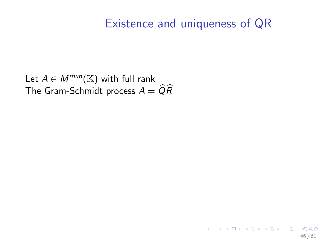Let  $A \in M^{m \times n}(\mathbb{K})$  with full rank The Gram-Schmidt process  $A = \widehat{Q}\widehat{R}$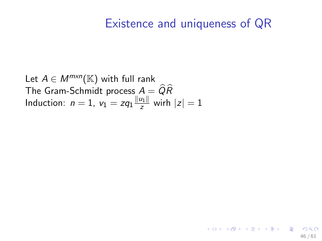46 / 61

イロト 不優 ト 不差 ト 不差 トー 差

Let  $A \in M^{m \times n}(\mathbb{K})$  with full rank The Gram-Schmidt process  $A = \widehat{Q}\widehat{R}$ Induction:  $n=1$ ,  $v_1 = zq_1 \frac{||u_1||}{z}$  $\frac{u_{1||}}{z}$  wirh  $|z|=1$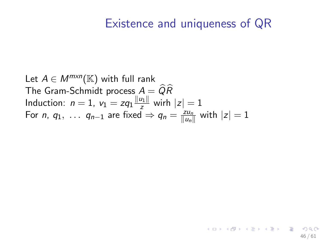46 / 61

イロト 不優 ト 不差 ト 不差 トー 差

Let  $A \in M^{m \times n}(\mathbb{K})$  with full rank The Gram-Schmidt process  $A = \widehat{Q}\widehat{R}$ Induction:  $n=1$ ,  $v_1 = zq_1 \frac{||u_1||}{z}$  $\frac{u_{1||}}{z}$  wirh  $|z|=1$ For *n*,  $q_1$ , ...  $q_{n-1}$  are fixed  $\Rightarrow$   $q_n = \frac{z u_n}{|u_n|}$  $\frac{zu_n}{\|u_n\|}$  with  $|z|=1$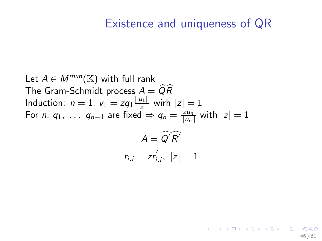46 / 61

K ロンス 御 > ス ヨ > ス ヨ > ニ ヨ

Let  $A \in M^{m \times n}(\mathbb{K})$  with full rank The Gram-Schmidt process  $A = \widehat{Q}\widehat{R}$ Induction:  $n=1$ ,  $v_1 = zq_1 \frac{||u_1||}{z}$  $\frac{u_{1||}}{z}$  wirh  $|z|=1$ For *n*,  $q_1$ , ...  $q_{n-1}$  are fixed  $\Rightarrow$   $q_n = \frac{z u_n}{|u_n|}$  $\frac{zu_n}{\|u_n\|}$  with  $|z|=1$  $A = Q'R'$  $r_{i,i} = zr_i^{'}$  $\dot{z}_{i,i},\,\,|z|=1$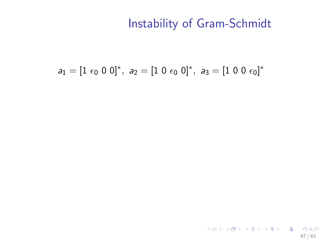$$
a_1=[1\ \epsilon_0\ 0\ 0]^*,\ a_2=[1\ 0\ \epsilon_0\ 0]^*,\ a_3=[1\ 0\ 0\ \epsilon_0]^*
$$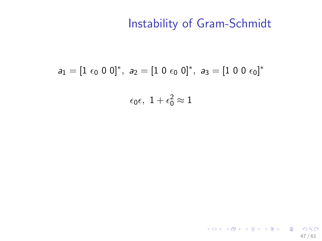$$
a_1=[1\ \epsilon_0\ 0\ 0]^*,\ a_2=[1\ 0\ \epsilon_0\ 0]^*,\ a_3=[1\ 0\ 0\ \epsilon_0]^*
$$
  

$$
\epsilon_0\epsilon,\ 1+\epsilon_0^2\approx 1
$$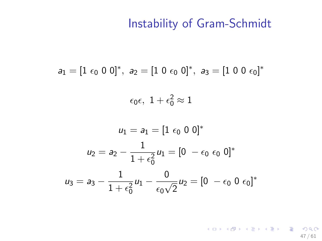$$
a_1=[1\ \varepsilon_0\ 0\ 0]^*,\ a_2=[1\ 0\ \varepsilon_0\ 0]^*,\ a_3=[1\ 0\ 0\ \varepsilon_0]^*
$$

 $\epsilon_0\epsilon, \ 1+\epsilon_0^2\approx 1$ 

$$
u_1 = a_1 = [1 \epsilon_0 \ 0 \ 0]^*
$$
  

$$
u_2 = a_2 - \frac{1}{1 + \epsilon_0^2} u_1 = [0 - \epsilon_0 \ \epsilon_0 \ 0]^*
$$
  

$$
u_3 = a_3 - \frac{1}{1 + \epsilon_0^2} u_1 - \frac{0}{\epsilon_0 \sqrt{2}} u_2 = [0 - \epsilon_0 \ 0 \ \epsilon_0]^*
$$

K ロ > K @ > K 할 > K 할 > 1 할 : X 9 Q Q\* 47 / 61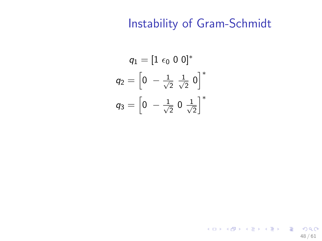$$
q_1 = [1 \epsilon_0 \ 0 \ 0]^*
$$
  

$$
q_2 = [0 \ -\frac{1}{\sqrt{2}} \ \frac{1}{\sqrt{2}} \ 0]^*
$$
  

$$
q_3 = [0 \ -\frac{1}{\sqrt{2}} \ 0 \ \frac{1}{\sqrt{2}}]^*
$$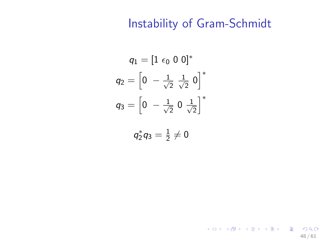$$
q_1 = [1 \epsilon_0 \ 0 \ 0]^*
$$
  

$$
q_2 = [0 \ -\frac{1}{\sqrt{2}} \ \frac{1}{\sqrt{2}} \ 0]^*
$$
  

$$
q_3 = [0 \ -\frac{1}{\sqrt{2}} \ 0 \ \frac{1}{\sqrt{2}}]^*
$$

$$
q_2^*q_3=\tfrac{1}{2}\neq 0
$$

K ロ ▶ K @ ▶ K 할 ▶ K 할 ▶ → 할 → 9 Q @ 48 / 61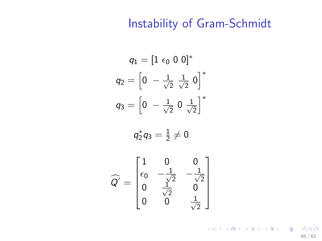$$
q_1 = [1 \epsilon_0 \ 0 \ 0]^*
$$
  

$$
q_2 = [0 \ -\frac{1}{\sqrt{2}} \ \frac{1}{\sqrt{2}} \ 0]^*
$$
  

$$
q_3 = [0 \ -\frac{1}{\sqrt{2}} \ 0 \ \frac{1}{\sqrt{2}}]^*
$$

$$
q_2^*q_3=\tfrac{1}{2}\neq 0
$$

$$
\widehat{Q'} = \begin{bmatrix} 1 & 0 & 0 \\ \epsilon_0 & -\frac{1}{\sqrt{2}} & -\frac{1}{\sqrt{2}} \\ 0 & \frac{1}{\sqrt{2}} & 0 \\ 0 & 0 & \frac{1}{\sqrt{2}} \end{bmatrix}
$$

KID KAR KERKER E 1990 48 / 61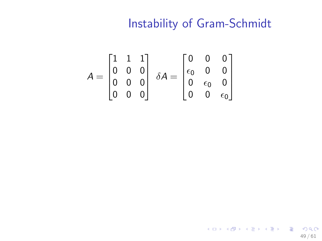$$
A = \begin{bmatrix} 1 & 1 & 1 \\ 0 & 0 & 0 \\ 0 & 0 & 0 \\ 0 & 0 & 0 \end{bmatrix} \delta A = \begin{bmatrix} 0 & 0 & 0 \\ \epsilon_0 & 0 & 0 \\ 0 & \epsilon_0 & 0 \\ 0 & 0 & \epsilon_0 \end{bmatrix}
$$

イロト 不優 ト 不思 ト 不思 トー 理  $2990$ 49 / 61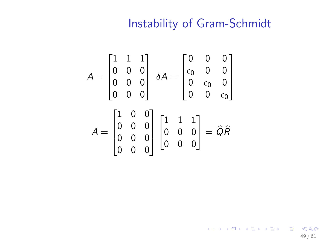49 / 61

K ロ ▶ K @ ▶ K 할 ▶ K 할 ▶ → 할 → 9 Q @

$$
A = \begin{bmatrix} 1 & 1 & 1 \\ 0 & 0 & 0 \\ 0 & 0 & 0 \\ 0 & 0 & 0 \end{bmatrix} \delta A = \begin{bmatrix} 0 & 0 & 0 \\ \epsilon_0 & 0 & 0 \\ 0 & \epsilon_0 & 0 \\ 0 & 0 & \epsilon_0 \end{bmatrix}
$$

$$
A = \begin{bmatrix} 1 & 0 & 0 \\ 0 & 0 & 0 \\ 0 & 0 & 0 \\ 0 & 0 & 0 \end{bmatrix} \begin{bmatrix} 1 & 1 & 1 \\ 0 & 0 & 0 \\ 0 & 0 & 0 \end{bmatrix} = \widehat{Q}\widehat{R}
$$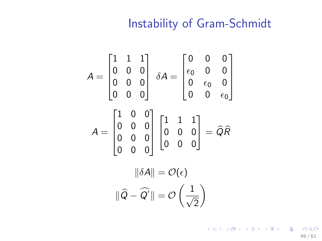$$
A = \begin{bmatrix} 1 & 1 & 1 \\ 0 & 0 & 0 \\ 0 & 0 & 0 \\ 0 & 0 & 0 \end{bmatrix} \delta A = \begin{bmatrix} 0 & 0 & 0 \\ \epsilon_0 & 0 & 0 \\ 0 & \epsilon_0 & 0 \\ 0 & 0 & \epsilon_0 \end{bmatrix}
$$

$$
A = \begin{bmatrix} 1 & 0 & 0 \\ 0 & 0 & 0 \\ 0 & 0 & 0 \\ 0 & 0 & 0 \end{bmatrix} \begin{bmatrix} 1 & 1 & 1 \\ 0 & 0 & 0 \\ 0 & 0 & 0 \end{bmatrix} = \widehat{Q}\widehat{R}
$$

$$
||\delta A|| = \mathcal{O}(\epsilon)
$$

$$
||\widehat{Q} - \widehat{Q}'|| = \mathcal{O}\left(\frac{1}{\sqrt{2}}\right)
$$

K ロ ▶ K @ ▶ K 할 ▶ K 할 ▶ → 할 → 9 Q @ 49 / 61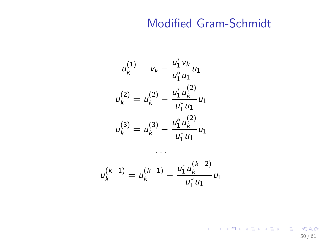$$
u_k^{(1)} = v_k - \frac{u_1^* v_k}{u_1^* u_1} u_1
$$
  

$$
u_k^{(2)} = u_k^{(2)} - \frac{u_1^* u_k^{(2)}}{u_1^* u_1} u_1
$$
  

$$
u_k^{(3)} = u_k^{(3)} - \frac{u_1^* u_k^{(2)}}{u_1^* u_1} u_1
$$

$$
u_k^{(k-1)} = u_k^{(k-1)} - \frac{u_1^* u_k^{(k-2)}}{u_1^* u_1} u_1
$$

. . .

KID KAR KERKER E 1990 50 / 61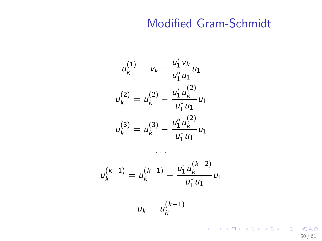$$
u_k^{(1)} = v_k - \frac{u_1^* v_k}{u_1^* u_1} u_1
$$
  

$$
u_k^{(2)} = u_k^{(2)} - \frac{u_1^* u_k^{(2)}}{u_1^* u_1} u_1
$$
  

$$
u_k^{(3)} = u_k^{(3)} - \frac{u_1^* u_k^{(2)}}{u_1^* u_1} u_1
$$

$$
u_k^{(k-1)} = u_k^{(k-1)} - \frac{u_1^* u_k^{(k-2)}}{u_1^* u_1} u_1
$$

$$
u_k = u_k^{(k-1)}
$$

. . .

K ロ ▶ K @ ▶ K 할 ▶ K 할 ▶ → 할 → 9 Q @ 50 / 61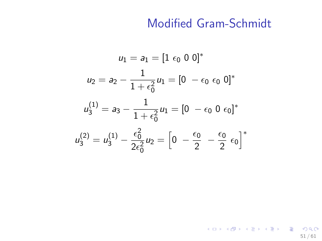$$
u_1 = a_1 = [1 \epsilon_0 \ 0 \ 0]^*
$$
  
\n
$$
u_2 = a_2 - \frac{1}{1 + \epsilon_0^2} u_1 = [0 - \epsilon_0 \ \epsilon_0 \ 0]^*
$$
  
\n
$$
u_3^{(1)} = a_3 - \frac{1}{1 + \epsilon_0^2} u_1 = [0 - \epsilon_0 \ 0 \ \epsilon_0]^*
$$
  
\n
$$
u_3^{(2)} = u_3^{(1)} - \frac{\epsilon_0^2}{2\epsilon_0^2} u_2 = \left[0 - \frac{\epsilon_0}{2} - \frac{\epsilon_0}{2} \ \epsilon_0\right]^*
$$

KID KAR KERKER E 1990 51 / 61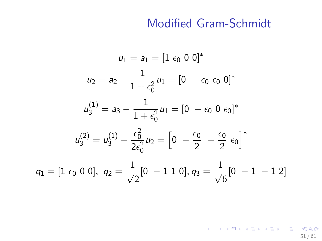$$
u_1 = a_1 = [1 \epsilon_0 \ 0 \ 0]^*
$$
  
\n
$$
u_2 = a_2 - \frac{1}{1 + \epsilon_0^2} u_1 = [0 - \epsilon_0 \ \epsilon_0 \ 0]^*
$$
  
\n
$$
u_3^{(1)} = a_3 - \frac{1}{1 + \epsilon_0^2} u_1 = [0 - \epsilon_0 \ 0 \ \epsilon_0]^*
$$
  
\n
$$
u_3^{(2)} = u_3^{(1)} - \frac{\epsilon_0^2}{2\epsilon_0^2} u_2 = \left[0 - \frac{\epsilon_0}{2} - \frac{\epsilon_0}{2} \ \epsilon_0\right]^*
$$
  
\n
$$
q_1 = [1 \ \epsilon_0 \ 0 \ 0], \ q_2 = \frac{1}{\sqrt{2}} [0 - 1 \ 1 \ 0], q_3 = \frac{1}{\sqrt{6}} [0 - 1 \ -1 \ 2]
$$

KID KAR KERKER E 1990 51 / 61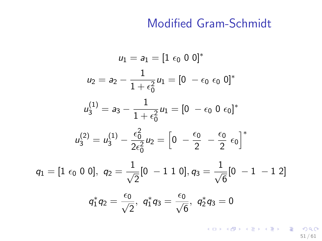$$
u_1 = a_1 = [1 \epsilon_0 \ 0 \ 0]^*
$$
  
\n
$$
u_2 = a_2 - \frac{1}{1 + \epsilon_0^2} u_1 = [0 - \epsilon_0 \ \epsilon_0 \ 0]^*
$$
  
\n
$$
u_3^{(1)} = a_3 - \frac{1}{1 + \epsilon_0^2} u_1 = [0 - \epsilon_0 \ 0 \ \epsilon_0]^*
$$
  
\n
$$
u_3^{(2)} = u_3^{(1)} - \frac{\epsilon_0^2}{2\epsilon_0^2} u_2 = \left[0 - \frac{\epsilon_0}{2} - \frac{\epsilon_0}{2} \ \epsilon_0\right]^*
$$
  
\n
$$
q_1 = [1 \ \epsilon_0 \ 0 \ 0], \ q_2 = \frac{1}{\sqrt{2}} [0 - 1 \ 1 \ 0], q_3 = \frac{1}{\sqrt{6}} [0 - 1 \ -1 \ 2]
$$
  
\n
$$
q_1^* q_2 = \frac{\epsilon_0}{\sqrt{2}}, \ q_1^* q_3 = \frac{\epsilon_0}{\sqrt{6}}, \ q_2^* q_3 = 0
$$

KID KAR KERKER E 1990 51 / 61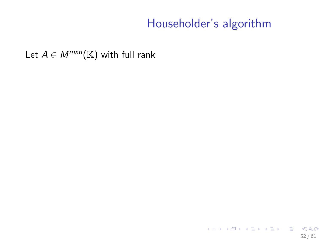Let  $A \in M^{m \times n}(\mathbb{K})$  with full rank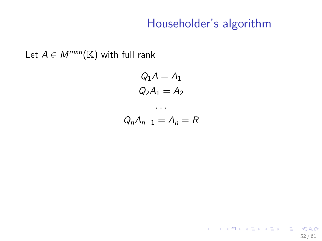52 / 61

K ロ ▶ K @ ▶ K 할 ▶ K 할 ▶ → 할 → 9 Q @

Let  $A \in M^{m \times n}(\mathbb{K})$  with full rank

$$
Q_1 A = A_1
$$
  

$$
Q_2 A_1 = A_2
$$

. . .

$$
Q_n A_{n-1} = A_n = R
$$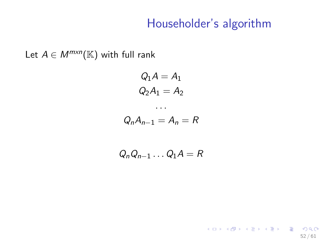Let  $A \in M^{m \times n}(\mathbb{K})$  with full rank

$$
Q_1 A = A_1
$$
  

$$
Q_2 A_1 = A_2
$$

$$
\dots
$$
  

$$
Q_n A_{n-1} = A_n = R
$$

$$
Q_n Q_{n-1} \ldots Q_1 A = R
$$

K ロ ▶ K @ ▶ K 할 ▶ K 할 ▶ → 할 → 9 Q @ 52 / 61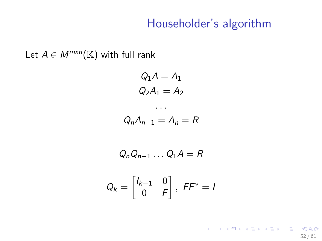Let  $A \in M^{m \times n}(\mathbb{K})$  with full rank

$$
Q_1 A = A_1
$$

$$
Q_2 A_1 = A_2
$$

$$
\cdots
$$

$$
Q_n A_{n-1} = A_n = R
$$

$$
Q_n Q_{n-1} \dots Q_1 A = R
$$
  

$$
Q_k = \begin{bmatrix} I_{k-1} & 0 \\ 0 & F \end{bmatrix}, \ F F^* = I
$$

K ロ ▶ K @ ▶ K 할 ▶ K 할 ▶ → 할 → 9 Q @ 52 / 61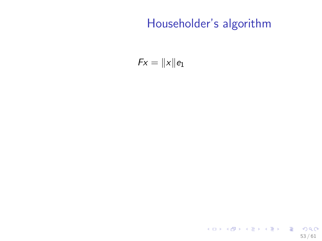$$
Fx=\|x\|e_1
$$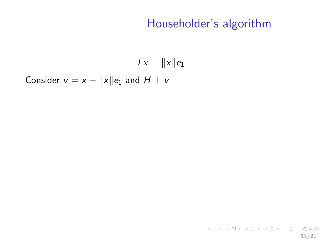$$
Fx=\|x\|e_1
$$

Consider  $v = x - ||x||e_1$  and  $H \perp v$ 

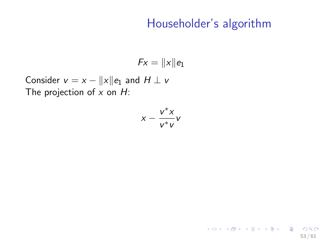53 / 61

K ロ ▶ K @ ▶ K 할 ▶ K 할 ▶ ( 할 ) 900

 $Fx = ||x||e_1$ 

Consider  $v = x - ||x||e_1$  and  $H \perp v$ The projection of  $x$  on  $H$ :

$$
x-\frac{v^*x}{v^*v}v
$$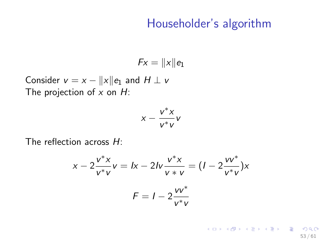$$
Fx=\|x\|e_1
$$

Consider  $v = x - ||x||e_1$  and  $H \perp v$ The projection of  $x$  on  $H$ :

$$
x-\frac{v^*x}{v^*v}v
$$

The reflection across H:

$$
x - 2\frac{v^*x}{v^*v} = lx - 2lv\frac{v^*x}{v^*v} = (I - 2\frac{vv^*}{v^*v})x
$$

$$
F = I - 2\frac{vv^*}{v^*v}
$$

イロト 不優 ト 不思 ト 不思 トー 理  $\Omega$ 53 / 61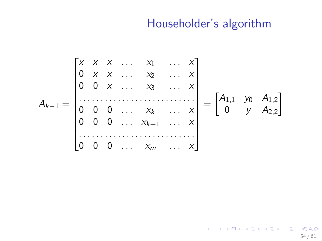$$
A_{k-1} = \begin{bmatrix} x & x & x & \dots & x_1 & \dots & x \\ 0 & x & x & \dots & x_2 & \dots & x \\ 0 & 0 & x & \dots & x_3 & \dots & x \\ \vdots & \vdots & \vdots & \vdots & \ddots & \vdots & \vdots \\ 0 & 0 & 0 & \dots & x_k & \dots & x \\ 0 & 0 & 0 & \dots & x_{k+1} & \dots & x \\ \vdots & \vdots & \vdots & \vdots & \vdots & \vdots & \vdots \\ 0 & 0 & 0 & \dots & x_m & \dots & x \end{bmatrix} = \begin{bmatrix} A_{1,1} & y_0 & A_{1,2} \\ 0 & y & A_{2,2} \end{bmatrix}
$$

K ロ ▶ K @ ▶ K 할 ▶ K 할 ▶ → 할 → 9 Q @ 54 / 61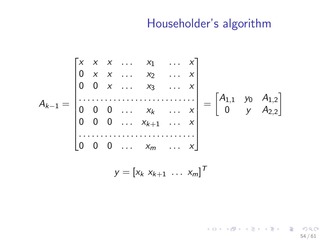54 / 61

K ロ ▶ K @ ▶ K 할 ▶ K 할 ▶ → 할 → 9 Q @

$$
A_{k-1} = \begin{bmatrix} x & x & x & \dots & x_1 & \dots & x \\ 0 & x & x & \dots & x_2 & \dots & x \\ 0 & 0 & x & \dots & x_3 & \dots & x \\ \vdots & \vdots & \vdots & \vdots & \ddots & \vdots & \vdots \\ 0 & 0 & 0 & \dots & x_k & \dots & x \\ 0 & 0 & 0 & \dots & x_{k+1} & \dots & x \\ \vdots & \vdots & \vdots & \vdots & \vdots & \vdots & \vdots \\ 0 & 0 & 0 & \dots & x_m & \dots & x \end{bmatrix} = \begin{bmatrix} A_{1,1} & y_0 & A_{1,2} \\ 0 & y & A_{2,2} \end{bmatrix}
$$

$$
y = \begin{bmatrix} x_k & x_{k+1} & \dots & x_m \end{bmatrix}^T
$$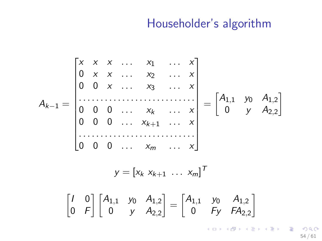$$
A_{k-1} = \begin{bmatrix} x & x & x & \dots & x_1 & \dots & x \\ 0 & x & x & \dots & x_2 & \dots & x \\ 0 & 0 & x & \dots & x_3 & \dots & x \\ \vdots & \vdots & \vdots & \ddots & \vdots & \vdots & \vdots \\ 0 & 0 & 0 & \dots & x_k & \dots & x \\ 0 & 0 & 0 & \dots & x_{m} & \dots & x \end{bmatrix} = \begin{bmatrix} A_{1,1} & y_0 & A_{1,2} \\ 0 & y & A_{2,2} \end{bmatrix}
$$

$$
y = \begin{bmatrix} x_k & x_{k+1} & \dots & x_m \end{bmatrix}^T
$$

$$
\begin{bmatrix} I & 0 \\ 0 & F \end{bmatrix} \begin{bmatrix} A_{1,1} & y_0 & A_{1,2} \\ 0 & y & A_{2,2} \end{bmatrix} = \begin{bmatrix} A_{1,1} & y_0 & A_{1,2} \\ 0 & F_y & F A_{2,2} \end{bmatrix}
$$

 $2990$ 54 / 61

重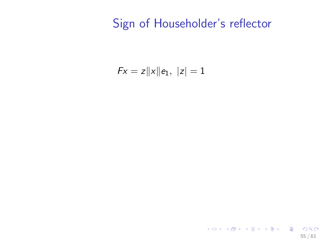$$
Fx = z||x||e_1, |z| = 1
$$

K ロ ▶ K @ ▶ K 할 ▶ K 할 ▶ → 할 → 9 Q @ 55 / 61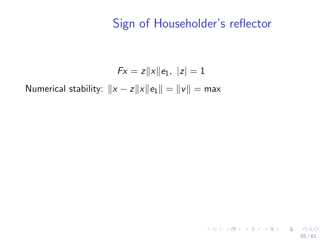55 / 61

K ロ ▶ K @ ▶ K 할 ▶ K 할 ▶ → 할 → 9 Q @

$$
Fx = z||x||e_1, |z| = 1
$$
  
Numerical stability:  $||x - z||x||e_1|| = ||v|| = max$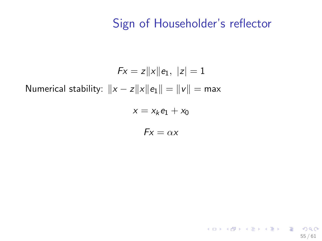55 / 61

K ロ ▶ K @ ▶ K 할 ▶ K 할 ▶ → 할 → 9 Q @

$$
Fx = z||x||e_1, |z| = 1
$$
  
Numerical stability:  $||x - z||x||e_1|| = ||v|| = max$ 

$$
x = x_k e_1 + x_0
$$

 $Fx = \alpha x$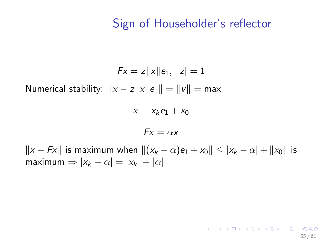55 / 61

K ロ > K @ > K 경 > K 경 > 시 경 >

$$
Fx = z||x||e_1, |z| = 1
$$
  
Numerical stability:  $||x - z||x||e_1|| = ||v|| = max$ 

$$
x = x_k e_1 + x_0
$$

$$
Fx=\alpha x
$$

 $||x - Fx||$  is maximum when  $||(x_k - \alpha)e_1 + x_0|| \le |x_k - \alpha| + ||x_0||$  is maximum  $\Rightarrow |x_k - \alpha| = |x_k| + |\alpha|$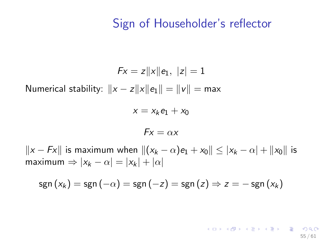$$
Fx = z||x||e_1, |z| = 1
$$
  
Numerical stability:  $||x - z||x||e_1|| = ||v|| = max$ 

$$
x = x_k e_1 + x_0
$$

$$
Fx=\alpha x
$$

 $||x - Fx||$  is maximum when  $||(x_k - \alpha)e_1 + x_0|| \le |x_k - \alpha| + ||x_0||$  is maximum  $\Rightarrow |x_k - \alpha| = |x_k| + |\alpha|$ 

$$
sgn(x_k) = sgn(-\alpha) = sgn(-z) = sgn(z) \Rightarrow z = -sgn(x_k)
$$

K ロ ▶ K @ ▶ K 할 > K 할 > → 할 → 9 Q Q 55 / 61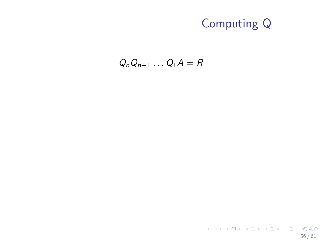$Q_nQ_{n-1} \ldots Q_1A = R$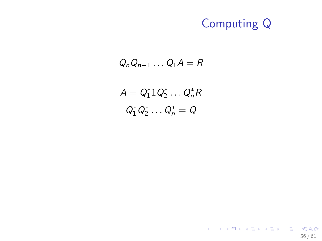$$
Q_n Q_{n-1} \ldots Q_1 A = R
$$

$$
A = Q_1^* 1 Q_2^* \dots Q_n^* R
$$
  

$$
Q_1^* Q_2^* \dots Q_n^* = Q
$$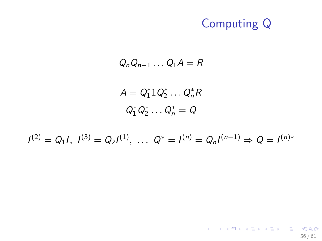$$
Q_n Q_{n-1} \ldots Q_1 A = R
$$

$$
A = Q_1^* 1 Q_2^* \dots Q_n^* R
$$
  

$$
Q_1^* Q_2^* \dots Q_n^* = Q
$$

$$
I^{(2)} = Q_1 I, I^{(3)} = Q_2 I^{(1)}, \ldots Q^* = I^{(n)} = Q_n I^{(n-1)} \Rightarrow Q = I^{(n)*}
$$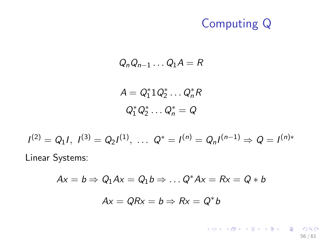$$
Q_n Q_{n-1} \ldots Q_1 A = R
$$

$$
A = Q_1^* 1 Q_2^* \dots Q_n^* R
$$
  

$$
Q_1^* Q_2^* \dots Q_n^* = Q
$$

$$
I^{(2)} = Q_1 I
$$
,  $I^{(3)} = Q_2 I^{(1)}$ , ...  $Q^* = I^{(n)} = Q_n I^{(n-1)} \Rightarrow Q = I^{(n)*}$   
Linear Systems:

$$
Ax = b \Rightarrow Q_1Ax = Q_1b \Rightarrow \dots Q^*Ax = Rx = Q*b
$$

$$
Ax = QRx = b \Rightarrow Rx = Q^*b
$$

K ロ > K 御 > K 聖 > K 聖 > 「聖 → の Q Q → 56 / 61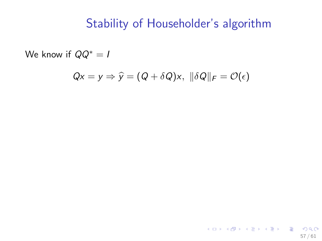We know if  $QQ^* = I$ 

$$
Qx = y \Rightarrow \widehat{y} = (Q + \delta Q)x, \ \|\delta Q\|_F = \mathcal{O}(\epsilon)
$$

K ロ > K @ > K 할 > K 할 > 1 할 : ⊙ Q Q^ 57 / 61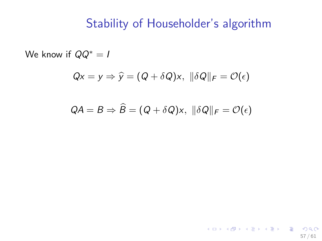We know if  $QQ^* = I$ 

$$
Qx = y \Rightarrow \widehat{y} = (Q + \delta Q)x, \ \|\delta Q\|_F = \mathcal{O}(\epsilon)
$$

$$
QA = B \Rightarrow \widehat{B} = (Q + \delta Q)x, \ \|\delta Q\|_F = \mathcal{O}(\epsilon)
$$

K ロ > K @ > K 할 > K 할 > 1 할 : ⊙ Q Q^ 57 / 61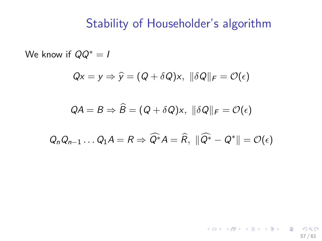We know if  $QQ^* = I$ 

$$
Qx = y \Rightarrow \widehat{y} = (Q + \delta Q)x, \ \|\delta Q\|_F = \mathcal{O}(\epsilon)
$$

$$
QA = B \Rightarrow \widehat{B} = (Q + \delta Q)x, \ \|\delta Q\|_F = \mathcal{O}(\epsilon)
$$

$$
Q_n Q_{n-1} \ldots Q_1 A = R \Rightarrow \widehat{Q^*} A = \widehat{R}, \ \|\widehat{Q^*} - Q^*\| = \mathcal{O}(\epsilon)
$$

57 / 61

K ロ > K @ > K 할 > K 할 > 1 할 : ⊙ Q Q^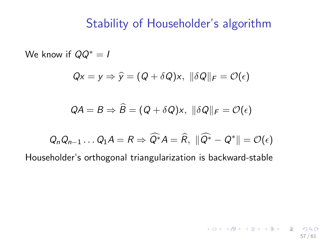We know if  $QQ^* = I$ 

$$
Qx = y \Rightarrow \widehat{y} = (Q + \delta Q)x, \ \|\delta Q\|_F = \mathcal{O}(\epsilon)
$$

$$
QA = B \Rightarrow \widehat{B} = (Q + \delta Q)x, \ \|\delta Q\|_F = \mathcal{O}(\epsilon)
$$

$$
Q_n Q_{n-1} \ldots Q_1 A = R \Rightarrow \widehat{Q^*} A = \widehat{R}, \ \|\widehat{Q^*} - Q^*\| = \mathcal{O}(\epsilon)
$$

57 / 61

K ロ ▶ K @ ▶ K 할 ▶ K 할 ▶ → 할 → 9 Q @

Householder's orthogonal triangularization is backward-stable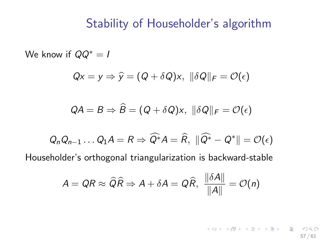We know if  $QQ^* = I$  $Qx = v \Rightarrow \hat{v} = (Q + \delta Q)x$ ,  $\|\delta Q\|_F = \mathcal{O}(\epsilon)$  $OA = B \Rightarrow \widehat{B} = (Q + \delta Q)x, ||\delta Q||_F = \mathcal{O}(\epsilon)$  $Q_n Q_{n-1} \ldots Q_1 A = R \Rightarrow \widehat{Q^*} A = \widehat{R}, \ \|\widehat{Q^*} - Q^*\| = \mathcal{O}(\epsilon)$ Householder's orthogonal triangularization is backward-stable

$$
A = QR \approx \widehat{Q}\widehat{R} \Rightarrow A + \delta A = Q\widehat{R}, \ \frac{\|\delta A\|}{\|A\|} = \mathcal{O}(n)
$$

**KORK EX KEY A BY A GAR** 57 / 61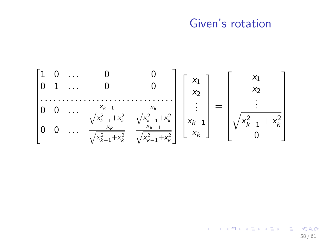#### Given's rotation

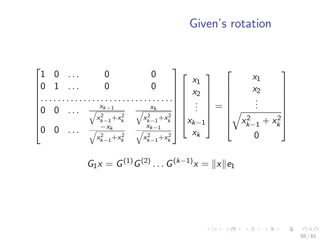#### Given's rotation



 $\langle \neg \Box \rangle$   $\rightarrow$   $\langle \Box \rangle$   $\rightarrow$   $\langle \Box \rangle$   $\rightarrow$ 58 / 61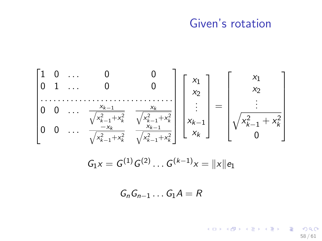#### Given's rotation

$$
\begin{bmatrix} 1 & 0 & \dots & 0 & 0 \\ 0 & 1 & \dots & 0 & 0 \\ \dots & \dots & \dots & \dots & \dots \\ 0 & 0 & \dots & \frac{x_{k-1}}{\sqrt{x_{k-1}^2 + x_k^2}} & \frac{x_k}{\sqrt{x_{k-1}^2 + x_k^2}} \\ 0 & 0 & \dots & \frac{x_{k-1}}{\sqrt{x_{k-1}^2 + x_k^2}} & \frac{x_{k-1}}{\sqrt{x_{k-1}^2 + x_k^2}} \end{bmatrix} \begin{bmatrix} x_1 \\ x_2 \\ \vdots \\ x_{k-1} \\ x_k \end{bmatrix} = \begin{bmatrix} x_1 \\ x_2 \\ \vdots \\ x_{k-1} \\ x_k \end{bmatrix}
$$

$$
G_1 x = G^{(1)} G^{(2)} \dots G^{(k-1)} x = ||x|| e_1
$$

 $G_nG_{n-1} \ldots G_1A = R$ 

K ロ > K 個 > K 差 > K 差 > → 差 → の Q Q < 58 / 61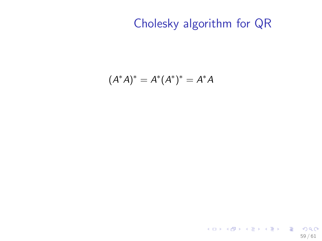## Cholesky algorithm for QR

$$
(A^*A)^* = A^*(A^*)^* = A^*A
$$

K ロ ▶ K @ ▶ K 할 ▶ K 할 ▶ → 할 → 9 Q @ 59 / 61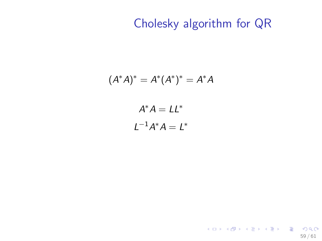## Cholesky algorithm for QR

$$
A^*A)^* = A^*(A^*)^* = A^*A
$$

$$
A^*A = LL^*
$$

$$
L^{-1}A^*A = L^*
$$

 $\overline{(\ }$ 

K ロ ▶ K @ ▶ K 할 ▶ K 할 ▶ 이 할 → 9 Q Q → 59 / 61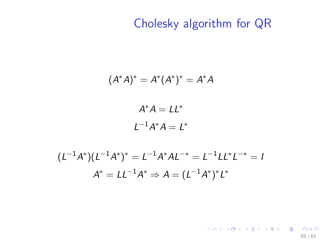## Cholesky algorithm for QR

$$
(A^*A)^* = A^*(A^*)^* = A^*A
$$

$$
A^*A = LL^*
$$

$$
L^{-1}A^*A = L^*
$$

$$
(L^{-1}A^*)(L^{-1}A^*)^* = L^{-1}A^*AL^{-*} = L^{-1}LL^*L^{-*} = I
$$

$$
A^* = LL^{-1}A^* \Rightarrow A = (L^{-1}A^*)^*L^*
$$

K ロ ▶ K @ ▶ K 할 ▶ K 할 ▶ → 할 → 9 Q @ 59 / 61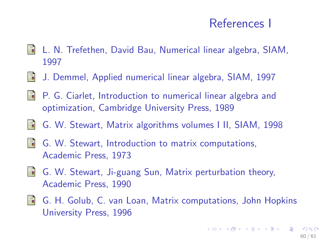## References I

- L. N. Trefethen, David Bau, Numerical linear algebra, SIAM, 歸 1997
- 量 J. Demmel, Applied numerical linear algebra, SIAM, 1997
- **P.** G. Ciarlet, Introduction to numerical linear algebra and optimization, Cambridge University Press, 1989
- S. G. W. Stewart, Matrix algorithms volumes I II, SIAM, 1998
- 譶 G. W. Stewart, Introduction to matrix computations, Academic Press, 1973
- **G. W. Stewart, Ji-guang Sun, Matrix perturbation theory,** Academic Press, 1990
- 譶 G. H. Golub, C. van Loan, Matrix computations, John Hopkins University Press, 1996